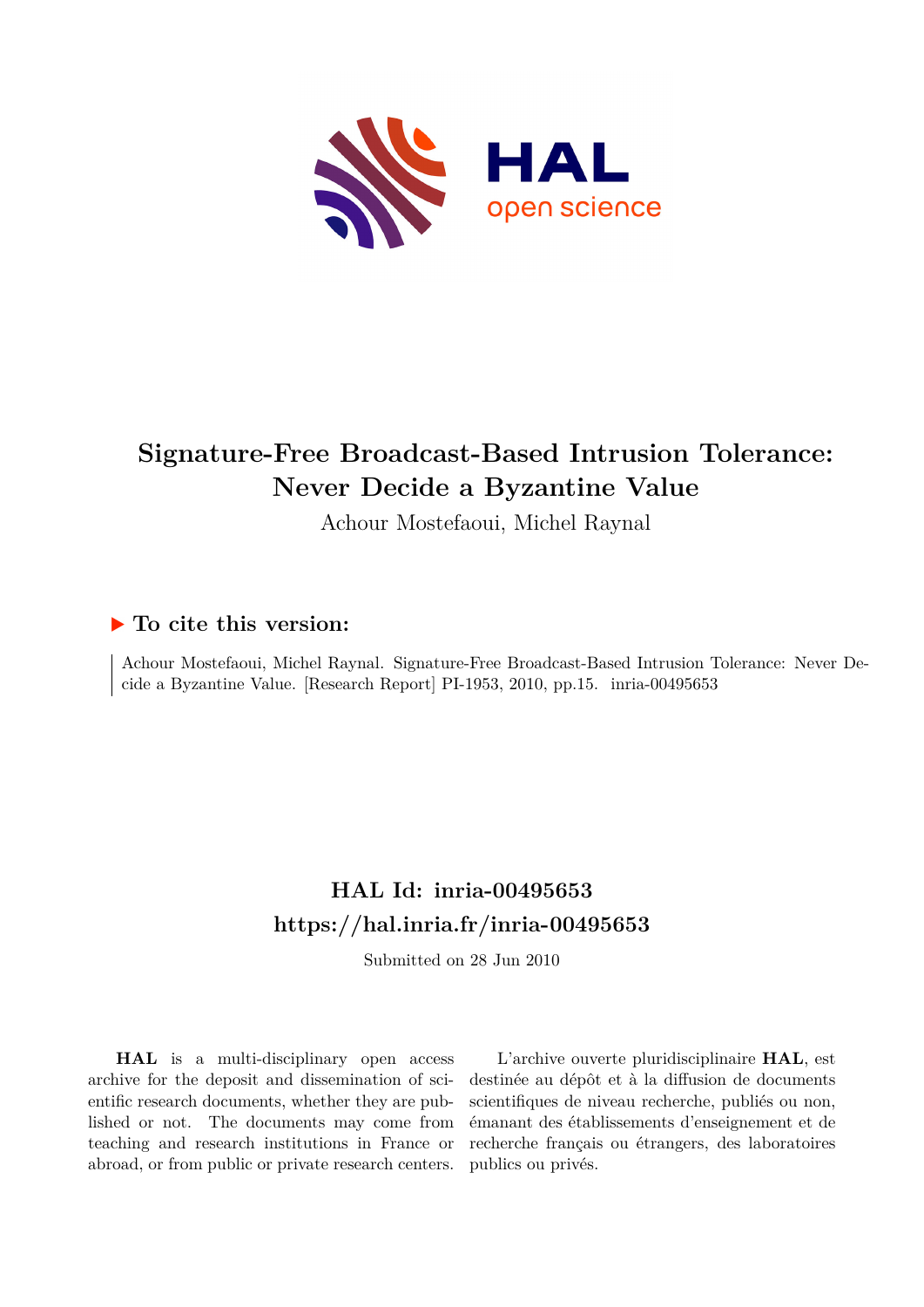

# **Signature-Free Broadcast-Based Intrusion Tolerance: Never Decide a Byzantine Value**

Achour Mostefaoui, Michel Raynal

# **To cite this version:**

Achour Mostefaoui, Michel Raynal. Signature-Free Broadcast-Based Intrusion Tolerance: Never Decide a Byzantine Value. [Research Report] PI-1953, 2010, pp.15. inria-00495653

# **HAL Id: inria-00495653 <https://hal.inria.fr/inria-00495653>**

Submitted on 28 Jun 2010

**HAL** is a multi-disciplinary open access archive for the deposit and dissemination of scientific research documents, whether they are published or not. The documents may come from teaching and research institutions in France or abroad, or from public or private research centers.

L'archive ouverte pluridisciplinaire **HAL**, est destinée au dépôt et à la diffusion de documents scientifiques de niveau recherche, publiés ou non, émanant des établissements d'enseignement et de recherche français ou étrangers, des laboratoires publics ou privés.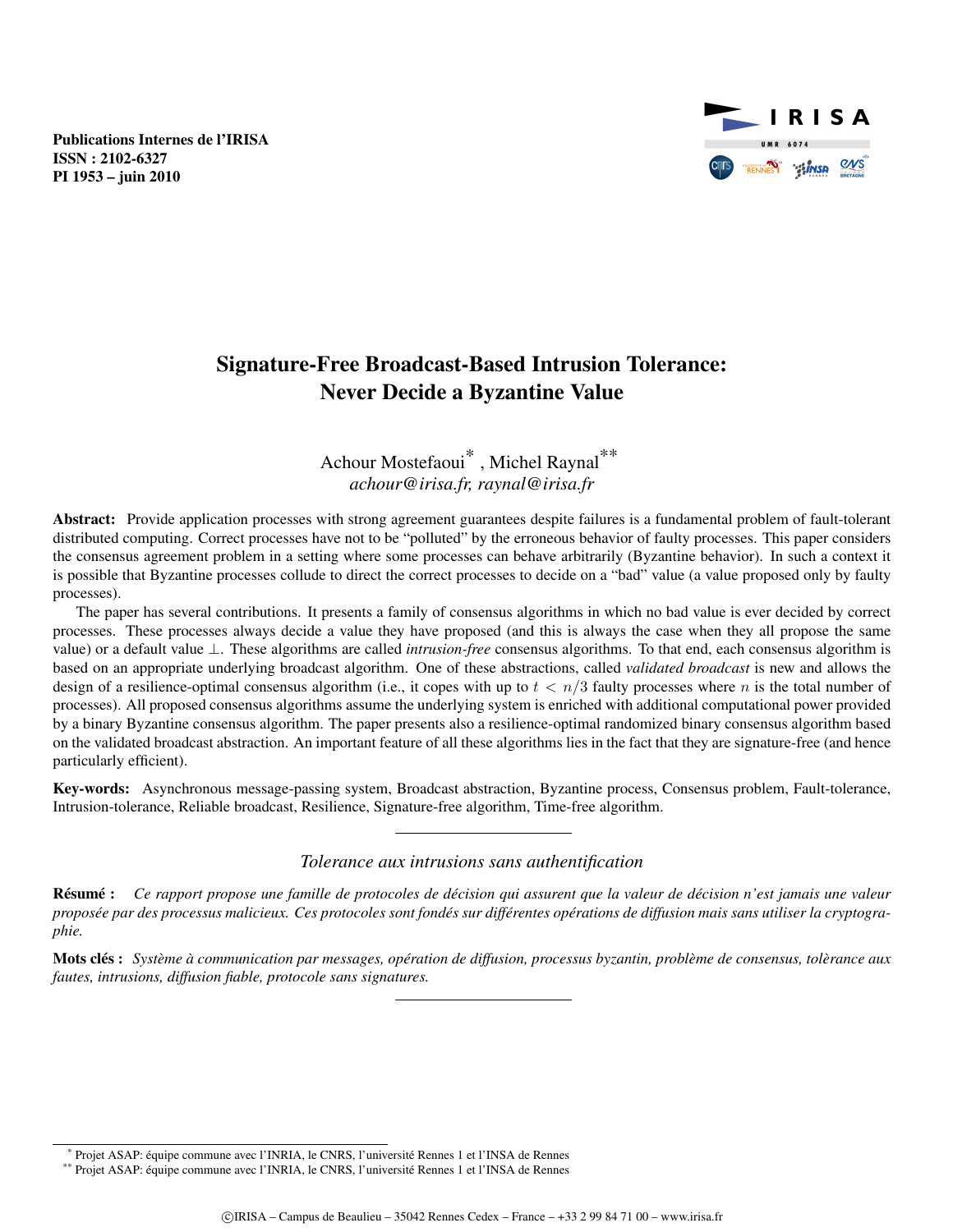Publications Internes de l'IRISA ISSN : 2102-6327 PI 1953 – juin 2010



# Signature-Free Broadcast-Based Intrusion Tolerance: Never Decide a Byzantine Value

# Achour Mostefaoui\* , Michel Raynal\*\* *achour@irisa.fr, raynal@irisa.fr*

Abstract: Provide application processes with strong agreement guarantees despite failures is a fundamental problem of fault-tolerant distributed computing. Correct processes have not to be "polluted" by the erroneous behavior of faulty processes. This paper considers the consensus agreement problem in a setting where some processes can behave arbitrarily (Byzantine behavior). In such a context it is possible that Byzantine processes collude to direct the correct processes to decide on a "bad" value (a value proposed only by faulty processes).

The paper has several contributions. It presents a family of consensus algorithms in which no bad value is ever decided by correct processes. These processes always decide a value they have proposed (and this is always the case when they all propose the same value) or a default value ⊥. These algorithms are called *intrusion-free* consensus algorithms. To that end, each consensus algorithm is based on an appropriate underlying broadcast algorithm. One of these abstractions, called *validated broadcast* is new and allows the design of a resilience-optimal consensus algorithm (i.e., it copes with up to  $t < n/3$  faulty processes where n is the total number of processes). All proposed consensus algorithms assume the underlying system is enriched with additional computational power provided by a binary Byzantine consensus algorithm. The paper presents also a resilience-optimal randomized binary consensus algorithm based on the validated broadcast abstraction. An important feature of all these algorithms lies in the fact that they are signature-free (and hence particularly efficient).

Key-words: Asynchronous message-passing system, Broadcast abstraction, Byzantine process, Consensus problem, Fault-tolerance, Intrusion-tolerance, Reliable broadcast, Resilience, Signature-free algorithm, Time-free algorithm.

#### *Tolerance aux intrusions sans authentification*

Résumé : *Ce rapport propose une famille de protocoles de décision qui assurent que la valeur de décision n'est jamais une valeur proposée par des processus malicieux. Ces protocoles sont fondés sur différentes opérations de diffusion mais sans utiliser la cryptographie.*

Mots clés : *Système à communication par messages, opération de diffusion, processus byzantin, problème de consensus, tolèrance aux fautes, intrusions, diffusion fiable, protocole sans signatures.*

<sup>\*</sup> Projet ASAP: équipe commune avec l'INRIA, le CNRS, l'université Rennes 1 et l'INSA de Rennes

<sup>\*\*</sup> Projet ASAP: équipe commune avec l'INRIA, le CNRS, l'université Rennes 1 et l'INSA de Rennes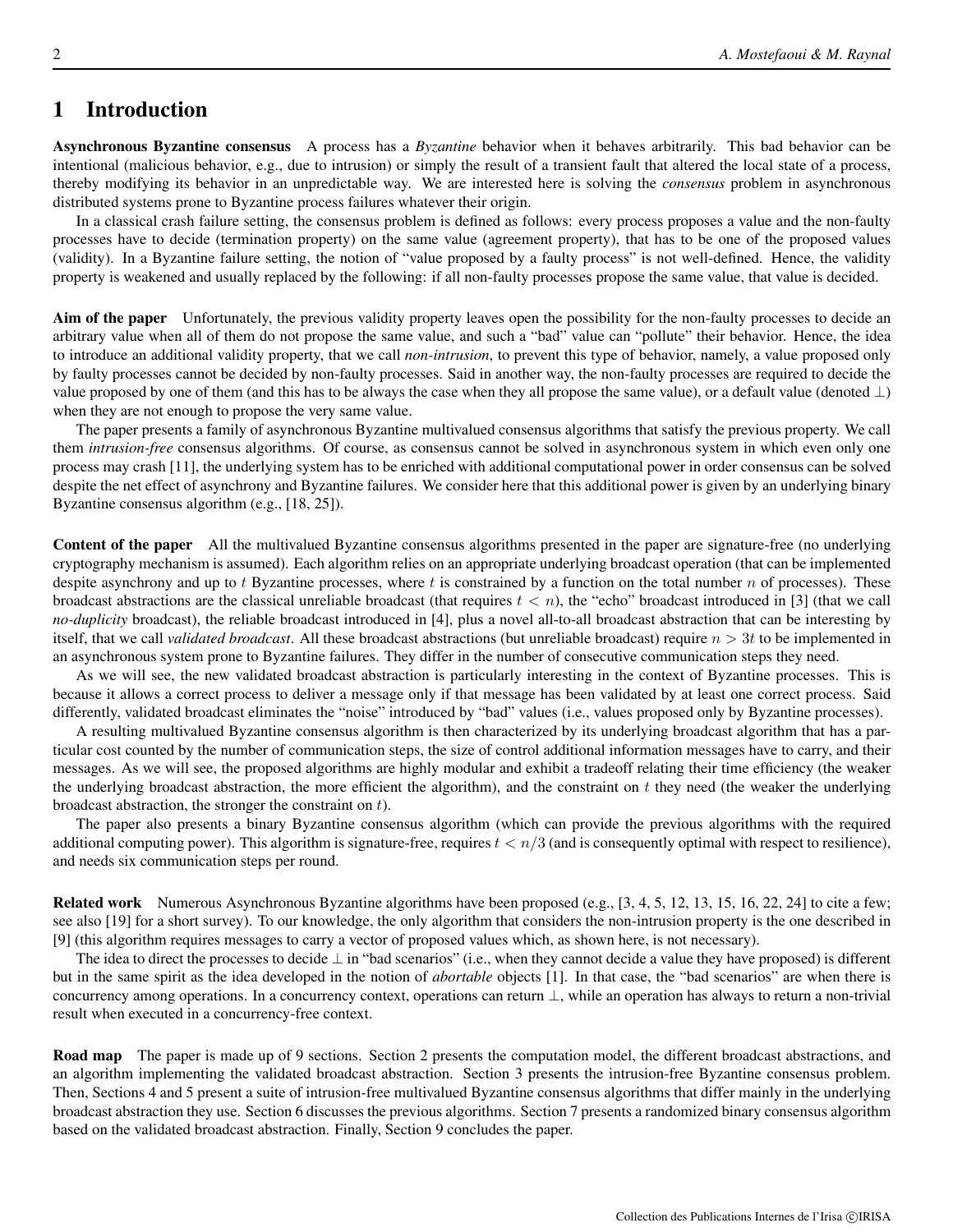## 1 Introduction

Asynchronous Byzantine consensus A process has a *Byzantine* behavior when it behaves arbitrarily. This bad behavior can be intentional (malicious behavior, e.g., due to intrusion) or simply the result of a transient fault that altered the local state of a process, thereby modifying its behavior in an unpredictable way. We are interested here is solving the *consensus* problem in asynchronous distributed systems prone to Byzantine process failures whatever their origin.

In a classical crash failure setting, the consensus problem is defined as follows: every process proposes a value and the non-faulty processes have to decide (termination property) on the same value (agreement property), that has to be one of the proposed values (validity). In a Byzantine failure setting, the notion of "value proposed by a faulty process" is not well-defined. Hence, the validity property is weakened and usually replaced by the following: if all non-faulty processes propose the same value, that value is decided.

Aim of the paper Unfortunately, the previous validity property leaves open the possibility for the non-faulty processes to decide an arbitrary value when all of them do not propose the same value, and such a "bad" value can "pollute" their behavior. Hence, the idea to introduce an additional validity property, that we call *non-intrusion*, to prevent this type of behavior, namely, a value proposed only by faulty processes cannot be decided by non-faulty processes. Said in another way, the non-faulty processes are required to decide the value proposed by one of them (and this has to be always the case when they all propose the same value), or a default value (denoted  $\perp$ ) when they are not enough to propose the very same value.

The paper presents a family of asynchronous Byzantine multivalued consensus algorithms that satisfy the previous property. We call them *intrusion-free* consensus algorithms. Of course, as consensus cannot be solved in asynchronous system in which even only one process may crash [11], the underlying system has to be enriched with additional computational power in order consensus can be solved despite the net effect of asynchrony and Byzantine failures. We consider here that this additional power is given by an underlying binary Byzantine consensus algorithm (e.g., [18, 25]).

Content of the paper All the multivalued Byzantine consensus algorithms presented in the paper are signature-free (no underlying cryptography mechanism is assumed). Each algorithm relies on an appropriate underlying broadcast operation (that can be implemented despite asynchrony and up to  $t$  Byzantine processes, where  $t$  is constrained by a function on the total number  $n$  of processes). These broadcast abstractions are the classical unreliable broadcast (that requires  $t < n$ ), the "echo" broadcast introduced in [3] (that we call *no-duplicity* broadcast), the reliable broadcast introduced in [4], plus a novel all-to-all broadcast abstraction that can be interesting by itself, that we call *validated broadcast*. All these broadcast abstractions (but unreliable broadcast) require  $n > 3t$  to be implemented in an asynchronous system prone to Byzantine failures. They differ in the number of consecutive communication steps they need.

As we will see, the new validated broadcast abstraction is particularly interesting in the context of Byzantine processes. This is because it allows a correct process to deliver a message only if that message has been validated by at least one correct process. Said differently, validated broadcast eliminates the "noise" introduced by "bad" values (i.e., values proposed only by Byzantine processes).

A resulting multivalued Byzantine consensus algorithm is then characterized by its underlying broadcast algorithm that has a particular cost counted by the number of communication steps, the size of control additional information messages have to carry, and their messages. As we will see, the proposed algorithms are highly modular and exhibit a tradeoff relating their time efficiency (the weaker the underlying broadcast abstraction, the more efficient the algorithm), and the constraint on  $t$  they need (the weaker the underlying broadcast abstraction, the stronger the constraint on t).

The paper also presents a binary Byzantine consensus algorithm (which can provide the previous algorithms with the required additional computing power). This algorithm is signature-free, requires  $t < n/3$  (and is consequently optimal with respect to resilience), and needs six communication steps per round.

Related work Numerous Asynchronous Byzantine algorithms have been proposed (e.g., [3, 4, 5, 12, 13, 15, 16, 22, 24] to cite a few; see also [19] for a short survey). To our knowledge, the only algorithm that considers the non-intrusion property is the one described in [9] (this algorithm requires messages to carry a vector of proposed values which, as shown here, is not necessary).

The idea to direct the processes to decide  $\perp$  in "bad scenarios" (i.e., when they cannot decide a value they have proposed) is different but in the same spirit as the idea developed in the notion of *abortable* objects [1]. In that case, the "bad scenarios" are when there is concurrency among operations. In a concurrency context, operations can return ⊥, while an operation has always to return a non-trivial result when executed in a concurrency-free context.

Road map The paper is made up of 9 sections. Section 2 presents the computation model, the different broadcast abstractions, and an algorithm implementing the validated broadcast abstraction. Section 3 presents the intrusion-free Byzantine consensus problem. Then, Sections 4 and 5 present a suite of intrusion-free multivalued Byzantine consensus algorithms that differ mainly in the underlying broadcast abstraction they use. Section 6 discusses the previous algorithms. Section 7 presents a randomized binary consensus algorithm based on the validated broadcast abstraction. Finally, Section 9 concludes the paper.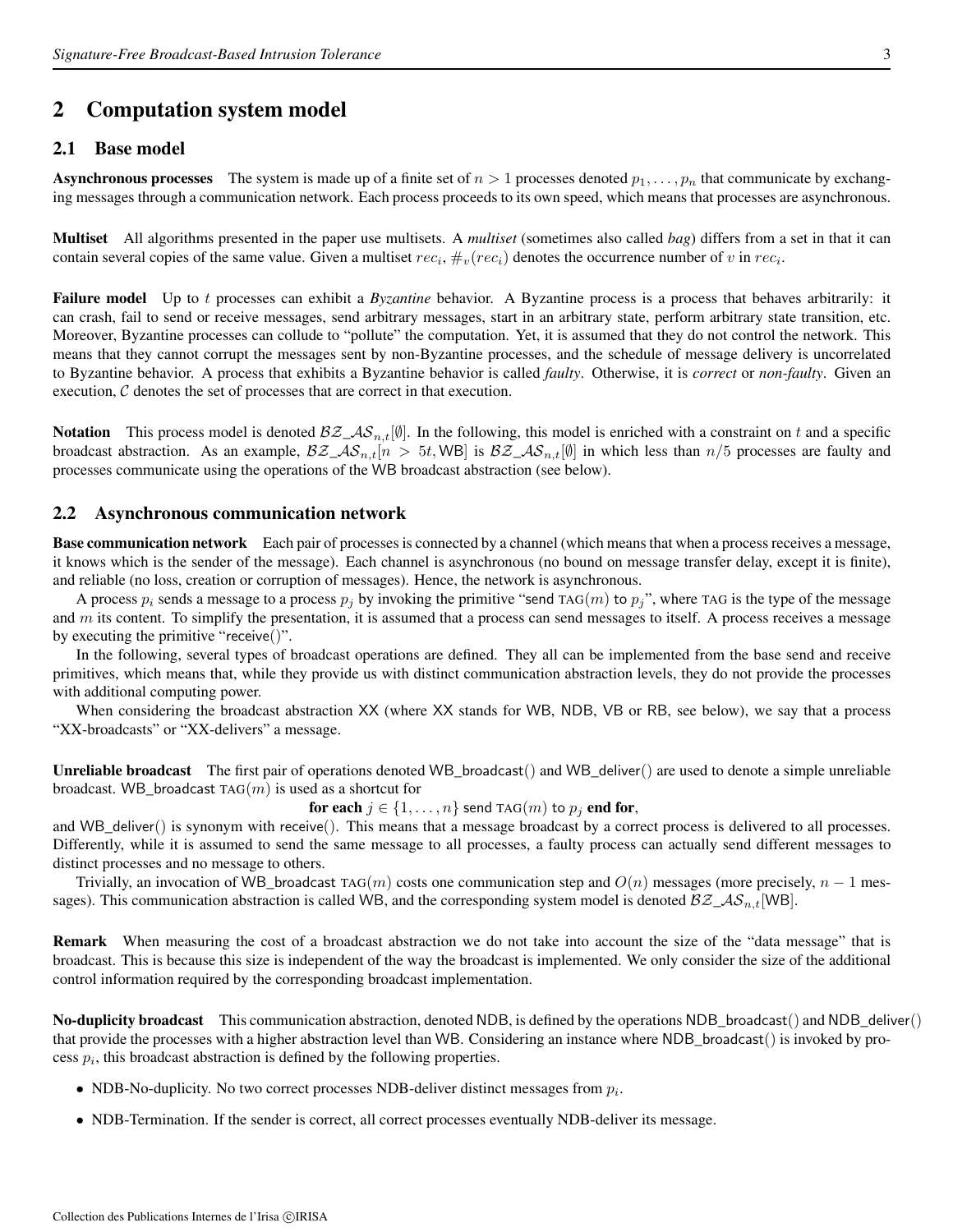## 2 Computation system model

### 2.1 Base model

**Asynchronous processes** The system is made up of a finite set of  $n > 1$  processes denoted  $p_1, \ldots, p_n$  that communicate by exchanging messages through a communication network. Each process proceeds to its own speed, which means that processes are asynchronous.

Multiset All algorithms presented in the paper use multisets. A *multiset* (sometimes also called *bag*) differs from a set in that it can contain several copies of the same value. Given a multiset  $rec_i$ ,  $\#_v(rec_i)$  denotes the occurrence number of v in  $rec_i$ .

Failure model Up to t processes can exhibit a *Byzantine* behavior. A Byzantine process is a process that behaves arbitrarily: it can crash, fail to send or receive messages, send arbitrary messages, start in an arbitrary state, perform arbitrary state transition, etc. Moreover, Byzantine processes can collude to "pollute" the computation. Yet, it is assumed that they do not control the network. This means that they cannot corrupt the messages sent by non-Byzantine processes, and the schedule of message delivery is uncorrelated to Byzantine behavior. A process that exhibits a Byzantine behavior is called *faulty*. Otherwise, it is *correct* or *non-faulty*. Given an execution, C denotes the set of processes that are correct in that execution.

**Notation** This process model is denoted  $\mathcal{BZ}_A\mathcal{S}_{n,t}[\emptyset]$ . In the following, this model is enriched with a constraint on t and a specific broadcast abstraction. As an example,  $BZ_A S_{n,t}[n > 5t, WB]$  is  $BZ_A S_{n,t}[0]$  in which less than  $n/5$  processes are faulty and processes communicate using the operations of the WB broadcast abstraction (see below).

## 2.2 Asynchronous communication network

Base communication network Each pair of processes is connected by a channel (which means that when a process receives a message, it knows which is the sender of the message). Each channel is asynchronous (no bound on message transfer delay, except it is finite), and reliable (no loss, creation or corruption of messages). Hence, the network is asynchronous.

A process  $p_i$  sends a message to a process  $p_j$  by invoking the primitive "send TAG(m) to  $p_j$ ", where TAG is the type of the message and  $m$  its content. To simplify the presentation, it is assumed that a process can send messages to itself. A process receives a message by executing the primitive "receive()".

In the following, several types of broadcast operations are defined. They all can be implemented from the base send and receive primitives, which means that, while they provide us with distinct communication abstraction levels, they do not provide the processes with additional computing power.

When considering the broadcast abstraction XX (where XX stands for WB, NDB, VB or RB, see below), we say that a process "XX-broadcasts" or "XX-delivers" a message.

Unreliable broadcast The first pair of operations denoted WB\_broadcast() and WB\_deliver() are used to denote a simple unreliable broadcast. WB\_broadcast  $TAG(m)$  is used as a shortcut for

for each  $j \in \{1, \ldots, n\}$  send TAG $(m)$  to  $p_j$  end for,

and WB\_deliver() is synonym with receive(). This means that a message broadcast by a correct process is delivered to all processes. Differently, while it is assumed to send the same message to all processes, a faulty process can actually send different messages to distinct processes and no message to others.

Trivially, an invocation of WB\_broadcast TAG(m) costs one communication step and  $O(n)$  messages (more precisely,  $n-1$  messages). This communication abstraction is called WB, and the corresponding system model is denoted  $\beta \mathcal{Z}_\text{-} \mathcal{AS}_{n,t}[WB]$ .

Remark When measuring the cost of a broadcast abstraction we do not take into account the size of the "data message" that is broadcast. This is because this size is independent of the way the broadcast is implemented. We only consider the size of the additional control information required by the corresponding broadcast implementation.

No-duplicity broadcast This communication abstraction, denoted NDB, is defined by the operations NDB\_broadcast() and NDB\_deliver() that provide the processes with a higher abstraction level than WB. Considering an instance where NDB\_broadcast() is invoked by process  $p_i$ , this broadcast abstraction is defined by the following properties.

- NDB-No-duplicity. No two correct processes NDB-deliver distinct messages from  $p_i$ .
- NDB-Termination. If the sender is correct, all correct processes eventually NDB-deliver its message.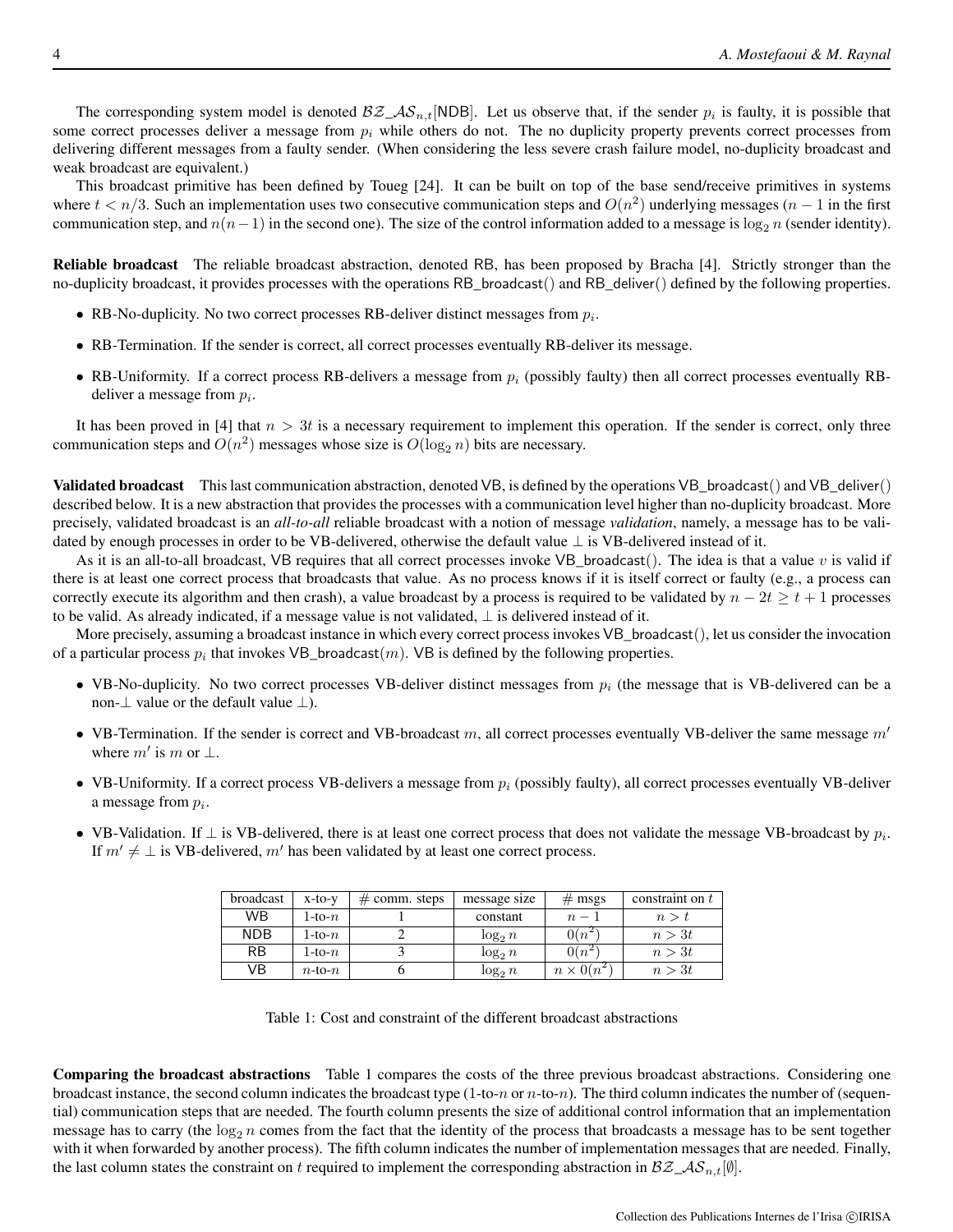The corresponding system model is denoted  $\mathcal{BZ}_A\mathcal{S}_{n,t}[\text{NDB}]$ . Let us observe that, if the sender  $p_i$  is faulty, it is possible that some correct processes deliver a message from  $p_i$  while others do not. The no duplicity property prevents correct processes from delivering different messages from a faulty sender. (When considering the less severe crash failure model, no-duplicity broadcast and weak broadcast are equivalent.)

This broadcast primitive has been defined by Toueg [24]. It can be built on top of the base send/receive primitives in systems where  $t < n/3$ . Such an implementation uses two consecutive communication steps and  $O(n^2)$  underlying messages  $(n-1)$  in the first communication step, and  $n(n-1)$  in the second one). The size of the control information added to a message is  $\log_2 n$  (sender identity).

Reliable broadcast The reliable broadcast abstraction, denoted RB, has been proposed by Bracha [4]. Strictly stronger than the no-duplicity broadcast, it provides processes with the operations RB\_broadcast() and RB\_deliver() defined by the following properties.

- RB-No-duplicity. No two correct processes RB-deliver distinct messages from  $p_i$ .
- RB-Termination. If the sender is correct, all correct processes eventually RB-deliver its message.
- RB-Uniformity. If a correct process RB-delivers a message from  $p_i$  (possibly faulty) then all correct processes eventually RBdeliver a message from  $p_i$ .

It has been proved in [4] that  $n > 3t$  is a necessary requirement to implement this operation. If the sender is correct, only three communication steps and  $O(n^2)$  messages whose size is  $O(\log_2 n)$  bits are necessary.

Validated broadcast This last communication abstraction, denoted VB, is defined by the operations VB\_broadcast() and VB\_deliver() described below. It is a new abstraction that provides the processes with a communication level higher than no-duplicity broadcast. More precisely, validated broadcast is an *all-to-all* reliable broadcast with a notion of message *validation*, namely, a message has to be validated by enough processes in order to be VB-delivered, otherwise the default value ⊥ is VB-delivered instead of it.

As it is an all-to-all broadcast, VB requires that all correct processes invoke VB\_broadcast(). The idea is that a value  $v$  is valid if there is at least one correct process that broadcasts that value. As no process knows if it is itself correct or faulty (e.g., a process can correctly execute its algorithm and then crash), a value broadcast by a process is required to be validated by  $n - 2t \ge t + 1$  processes to be valid. As already indicated, if a message value is not validated, ⊥ is delivered instead of it.

More precisely, assuming a broadcast instance in which every correct process invokes VB\_broadcast(), let us consider the invocation of a particular process  $p_i$  that invokes VB\_broadcast $(m)$ . VB is defined by the following properties.

- VB-No-duplicity. No two correct processes VB-deliver distinct messages from  $p_i$  (the message that is VB-delivered can be a non- $\perp$  value or the default value  $\perp$ ).
- VB-Termination. If the sender is correct and VB-broadcast m, all correct processes eventually VB-deliver the same message  $m'$ where  $m'$  is m or  $\perp$ .
- VB-Uniformity. If a correct process VB-delivers a message from  $p_i$  (possibly faulty), all correct processes eventually VB-deliver a message from  $p_i$ .
- VB-Validation. If  $\perp$  is VB-delivered, there is at least one correct process that does not validate the message VB-broadcast by  $p_i$ . If  $m' \neq \perp$  is VB-delivered, m' has been validated by at least one correct process.

| broadcast  | $x-to-v$     | $#$ comm. steps | message size | $#$ msgs          | constraint on $t$ |
|------------|--------------|-----------------|--------------|-------------------|-------------------|
| WB.        | 1-to- $n$    |                 | constant     | $n-1$             | n > t             |
| <b>NDB</b> | 1-to- $n$    |                 | $\log_2 n$   | $0(n^2)$          | n > 3t            |
| <b>RB</b>  | 1-to- $n$    |                 | $\log_2 n$   | $0(n^2)$          | n > 3t            |
| VB         | $n$ -to- $n$ |                 | $\log_2 n$   | $n \times 0(n^2)$ | n > 3t            |

Table 1: Cost and constraint of the different broadcast abstractions

Comparing the broadcast abstractions Table 1 compares the costs of the three previous broadcast abstractions. Considering one broadcast instance, the second column indicates the broadcast type  $(1-to-n$  or  $n-to-n)$ . The third column indicates the number of (sequential) communication steps that are needed. The fourth column presents the size of additional control information that an implementation message has to carry (the  $\log_2 n$  comes from the fact that the identity of the process that broadcasts a message has to be sent together with it when forwarded by another process). The fifth column indicates the number of implementation messages that are needed. Finally, the last column states the constraint on t required to implement the corresponding abstraction in  $\mathcal{BZ}_\mathcal{A}\mathcal{S}_{n,t}[\emptyset].$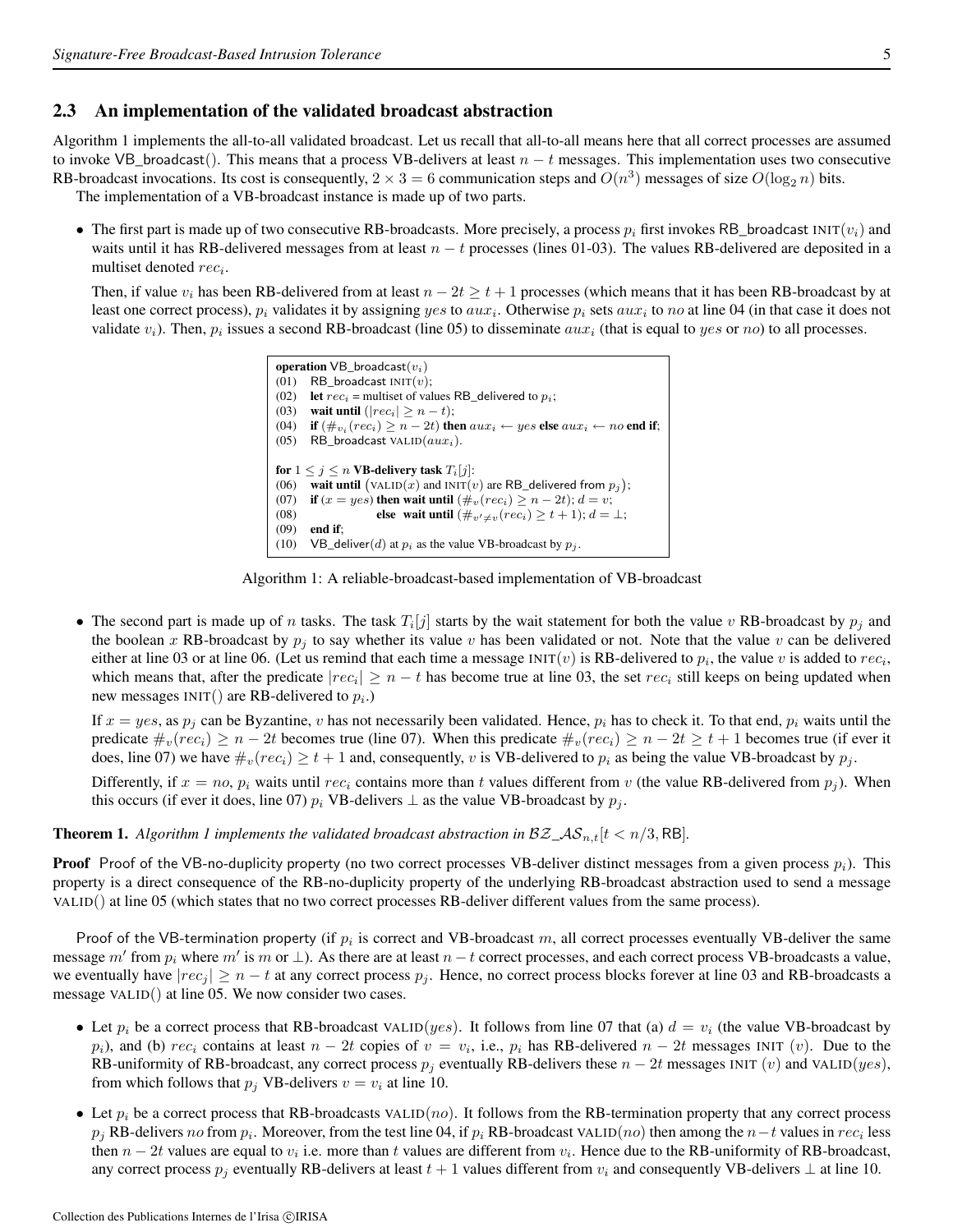#### 2.3 An implementation of the validated broadcast abstraction

Algorithm 1 implements the all-to-all validated broadcast. Let us recall that all-to-all means here that all correct processes are assumed to invoke VB\_broadcast(). This means that a process VB-delivers at least  $n - t$  messages. This implementation uses two consecutive RB-broadcast invocations. Its cost is consequently,  $2 \times 3 = 6$  communication steps and  $O(n^3)$  messages of size  $O(\log_2 n)$  bits. The implementation of a VB-broadcast instance is made up of two parts.

• The first part is made up of two consecutive RB-broadcasts. More precisely, a process  $p_i$  first invokes RB\_broadcast INIT( $v_i$ ) and waits until it has RB-delivered messages from at least  $n - t$  processes (lines 01-03). The values RB-delivered are deposited in a multiset denoted  $rec_i$ .

Then, if value  $v_i$  has been RB-delivered from at least  $n - 2t \ge t + 1$  processes (which means that it has been RB-broadcast by at least one correct process),  $p_i$  validates it by assigning yes to  $aux_i$ . Otherwise  $p_i$  sets  $aux_i$  to no at line 04 (in that case it does not validate  $v_i$ ). Then,  $p_i$  issues a second RB-broadcast (line 05) to disseminate  $aux_i$  (that is equal to  $yes$  or  $no$ ) to all processes.

```
operation VB_broadcast(v_i)(01) RB_broadcast INT(v);(02) let rec_i = multiset of values RB_delivered to p_i;
(03) wait until (|rec_i| \ge n - t);
(04) if (\#_{v_i}(rec_i) \ge n - 2t) then aux_i \leftarrow yes else aux_i \leftarrow no end if;
(05) RB_broadcast VALID(aux_i).
for 1 \leq j \leq n VB-delivery task T_i[j]:
(06) wait until (\text{VALID}(x) and \text{INIT}(v) are RB_delivered from p_j);
(07) if (x = yes) then wait until (\#_v(rec_i) \ge n - 2t); d = v;<br>(08) else wait until (\#_{v \ne n}(rec_i) \ge t + 1); d =(08) else wait until (\#_{v' \neq v}(rec_i) \geq t + 1); d = \bot;<br>(09) end if;
       end if;
(10) VB_deliver(d) at p_i as the value VB-broadcast by p_j.
```
Algorithm 1: A reliable-broadcast-based implementation of VB-broadcast

• The second part is made up of n tasks. The task  $T_i[j]$  starts by the wait statement for both the value v RB-broadcast by  $p_j$  and the boolean x RB-broadcast by  $p_j$  to say whether its value v has been validated or not. Note that the value v can be delivered either at line 03 or at line 06. (Let us remind that each time a message INIT(*v*) is RB-delivered to  $p_i$ , the value *v* is added to  $rec_i$ , which means that, after the predicate  $|rec_i| \ge n - t$  has become true at line 03, the set  $rec_i$  still keeps on being updated when new messages  $INT()$  are RB-delivered to  $p_i$ .)

If  $x = yes$ , as  $p_i$  can be Byzantine, v has not necessarily been validated. Hence,  $p_i$  has to check it. To that end,  $p_i$  waits until the predicate  $\#_v(rec_i) \geq n-2t$  becomes true (line 07). When this predicate  $\#_v(rec_i) \geq n-2t \geq t+1$  becomes true (if ever it does, line 07) we have  $\#_v(rec_i) \geq t+1$  and, consequently, v is VB-delivered to  $p_i$  as being the value VB-broadcast by  $p_j$ .

Differently, if  $x = no$ ,  $p_i$  waits until rec<sub>i</sub> contains more than t values different from v (the value RB-delivered from  $p_i$ ). When this occurs (if ever it does, line 07)  $p_i$  VB-delivers  $\perp$  as the value VB-broadcast by  $p_j$ .

**Theorem 1.** Algorithm 1 implements the validated broadcast abstraction in  $\mathcal{BZ}_A\mathcal{S}_{n,t}[t \leq n/3, \text{RB}]$ .

**Proof** Proof of the VB-no-duplicity property (no two correct processes VB-deliver distinct messages from a given process  $p_i$ ). This property is a direct consequence of the RB-no-duplicity property of the underlying RB-broadcast abstraction used to send a message VALID() at line 05 (which states that no two correct processes RB-deliver different values from the same process).

Proof of the VB-termination property (if  $p_i$  is correct and VB-broadcast m, all correct processes eventually VB-deliver the same message  $m'$  from  $p_i$  where  $m'$  is  $m$  or  $\perp$ ). As there are at least  $n-t$  correct processes, and each correct process VB-broadcasts a value, we eventually have  $|rec_j| \ge n - t$  at any correct process  $p_j$ . Hence, no correct process blocks forever at line 03 and RB-broadcasts a message VALID() at line 05. We now consider two cases.

- Let  $p_i$  be a correct process that RB-broadcast VALID(yes). It follows from line 07 that (a)  $d = v_i$  (the value VB-broadcast by  $p_i$ ), and (b)  $rec_i$  contains at least  $n - 2t$  copies of  $v = v_i$ , i.e.,  $p_i$  has RB-delivered  $n - 2t$  messages INIT (v). Due to the RB-uniformity of RB-broadcast, any correct process  $p_j$  eventually RB-delivers these  $n - 2t$  messages INIT (v) and VALID(yes), from which follows that  $p_i$  VB-delivers  $v = v_i$  at line 10.
- Let  $p_i$  be a correct process that RB-broadcasts VALID(no). It follows from the RB-termination property that any correct process  $p_j$  RB-delivers no from  $p_i$ . Moreover, from the test line 04, if  $p_i$  RB-broadcast VALID(no) then among the  $n-t$  values in  $rec_i$  less then  $n-2t$  values are equal to  $v_i$  i.e. more than t values are different from  $v_i$ . Hence due to the RB-uniformity of RB-broadcast, any correct process  $p_j$  eventually RB-delivers at least  $t + 1$  values different from  $v_i$  and consequently VB-delivers  $\perp$  at line 10.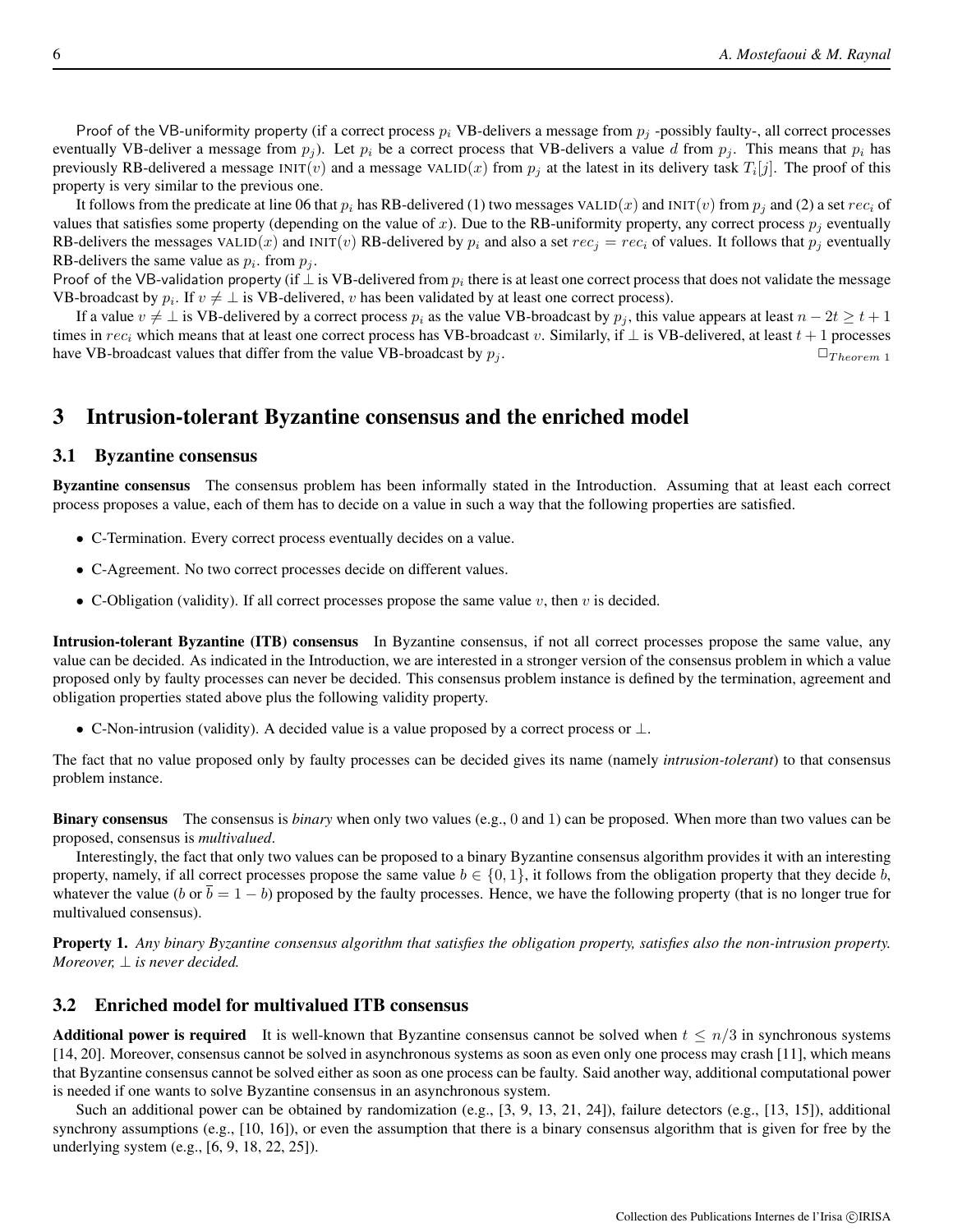Proof of the VB-uniformity property (if a correct process  $p_i$  VB-delivers a message from  $p_i$ -possibly faulty-, all correct processes eventually VB-deliver a message from  $p_i$ ). Let  $p_i$  be a correct process that VB-delivers a value d from  $p_i$ . This means that  $p_i$  has previously RB-delivered a message INIT(*v*) and a message VALID(*x*) from  $p_j$  at the latest in its delivery task  $T_i[j]$ . The proof of this property is very similar to the previous one.

It follows from the predicate at line 06 that  $p_i$  has RB-delivered (1) two messages VALID(x) and INIT(v) from  $p_i$  and (2) a set  $rec_i$  of values that satisfies some property (depending on the value of x). Due to the RB-uniformity property, any correct process  $p_i$  eventually RB-delivers the messages VALID(x) and INIT(v) RB-delivered by  $p_i$  and also a set  $rec_j = rec_i$  of values. It follows that  $p_j$  eventually RB-delivers the same value as  $p_i$ . from  $p_j$ .

Proof of the VB-validation property (if  $\perp$  is VB-delivered from  $p_i$  there is at least one correct process that does not validate the message VB-broadcast by  $p_i$ . If  $v \neq \perp$  is VB-delivered, v has been validated by at least one correct process).

If a value  $v \neq \bot$  is VB-delivered by a correct process  $p_i$  as the value VB-broadcast by  $p_j$ , this value appears at least  $n - 2t \geq t + 1$ times in  $rec_i$  which means that at least one correct process has VB-broadcast v. Similarly, if  $\bot$  is VB-delivered, at least  $t + 1$  processes have VB-broadcast values that differ from the value VB-broadcast by  $p_i$ .  $\Box_{Theorem 1}$ 

## 3 Intrusion-tolerant Byzantine consensus and the enriched model

#### 3.1 Byzantine consensus

Byzantine consensus The consensus problem has been informally stated in the Introduction. Assuming that at least each correct process proposes a value, each of them has to decide on a value in such a way that the following properties are satisfied.

- C-Termination. Every correct process eventually decides on a value.
- C-Agreement. No two correct processes decide on different values.
- C-Obligation (validity). If all correct processes propose the same value  $v$ , then  $v$  is decided.

Intrusion-tolerant Byzantine (ITB) consensus In Byzantine consensus, if not all correct processes propose the same value, any value can be decided. As indicated in the Introduction, we are interested in a stronger version of the consensus problem in which a value proposed only by faulty processes can never be decided. This consensus problem instance is defined by the termination, agreement and obligation properties stated above plus the following validity property.

• C-Non-intrusion (validity). A decided value is a value proposed by a correct process or  $\perp$ .

The fact that no value proposed only by faulty processes can be decided gives its name (namely *intrusion-tolerant*) to that consensus problem instance.

Binary consensus The consensus is *binary* when only two values (e.g., 0 and 1) can be proposed. When more than two values can be proposed, consensus is *multivalued*.

Interestingly, the fact that only two values can be proposed to a binary Byzantine consensus algorithm provides it with an interesting property, namely, if all correct processes propose the same value  $b \in \{0, 1\}$ , it follows from the obligation property that they decide b, whatever the value (b or  $b = 1 - b$ ) proposed by the faulty processes. Hence, we have the following property (that is no longer true for multivalued consensus).

Property 1. *Any binary Byzantine consensus algorithm that satisfies the obligation property, satisfies also the non-intrusion property. Moreover,*  $\perp$  *is never decided.* 

#### 3.2 Enriched model for multivalued ITB consensus

Additional power is required It is well-known that Byzantine consensus cannot be solved when  $t \leq n/3$  in synchronous systems [14, 20]. Moreover, consensus cannot be solved in asynchronous systems as soon as even only one process may crash [11], which means that Byzantine consensus cannot be solved either as soon as one process can be faulty. Said another way, additional computational power is needed if one wants to solve Byzantine consensus in an asynchronous system.

Such an additional power can be obtained by randomization (e.g., [3, 9, 13, 21, 24]), failure detectors (e.g., [13, 15]), additional synchrony assumptions (e.g., [10, 16]), or even the assumption that there is a binary consensus algorithm that is given for free by the underlying system (e.g., [6, 9, 18, 22, 25]).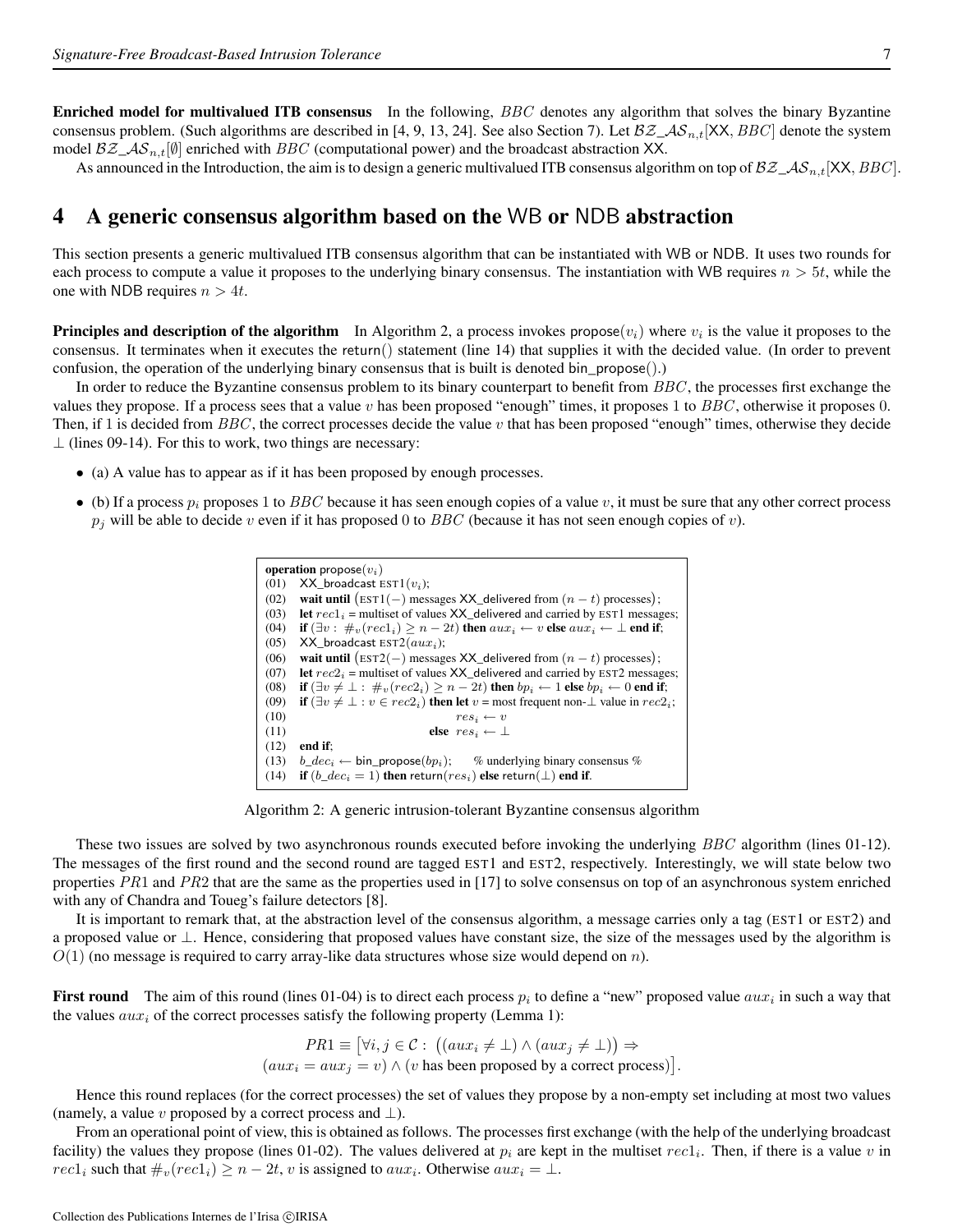Enriched model for multivalued ITB consensus In the following, BBC denotes any algorithm that solves the binary Byzantine consensus problem. (Such algorithms are described in [4, 9, 13, 24]. See also Section 7). Let  $\mathcal{BZ}_\text{A}S_{n,t}[\text{XX}, BBC]$  denote the system model  $\mathcal{BZ}\_{\mathcal{AS}_n,t}[\emptyset]$  enriched with  $BBC$  (computational power) and the broadcast abstraction XX.

As announced in the Introduction, the aim is to design a generic multivalued ITB consensus algorithm on top of  $\mathcal{BZ}_-$ AS<sub>n,t</sub> [XX, *BBC*].

## 4 A generic consensus algorithm based on the WB or NDB abstraction

This section presents a generic multivalued ITB consensus algorithm that can be instantiated with WB or NDB. It uses two rounds for each process to compute a value it proposes to the underlying binary consensus. The instantiation with WB requires  $n > 5t$ , while the one with NDB requires  $n > 4t$ .

**Principles and description of the algorithm** In Algorithm 2, a process invokes propose( $v_i$ ) where  $v_i$  is the value it proposes to the consensus. It terminates when it executes the return() statement (line 14) that supplies it with the decided value. (In order to prevent confusion, the operation of the underlying binary consensus that is built is denoted bin\_propose().)

In order to reduce the Byzantine consensus problem to its binary counterpart to benefit from  $BBC$ , the processes first exchange the values they propose. If a process sees that a value v has been proposed "enough" times, it proposes 1 to  $BBC$ , otherwise it proposes 0. Then, if 1 is decided from  $BBC$ , the correct processes decide the value v that has been proposed "enough" times, otherwise they decide  $\perp$  (lines 09-14). For this to work, two things are necessary:

- (a) A value has to appear as if it has been proposed by enough processes.
- (b) If a process  $p_i$  proposes 1 to BBC because it has seen enough copies of a value v, it must be sure that any other correct process  $p_j$  will be able to decide v even if it has proposed 0 to BBC (because it has not seen enough copies of v).

| <b>operation</b> propose $(v_i)$ |                                                                                                             |  |  |  |  |  |  |  |
|----------------------------------|-------------------------------------------------------------------------------------------------------------|--|--|--|--|--|--|--|
| (01)                             | $XX_{\text{}}$ broadcast EST $1(v_i)$ ;                                                                     |  |  |  |  |  |  |  |
| (02)                             | wait until (EST1(-) messages XX_delivered from $(n - t)$ processes);                                        |  |  |  |  |  |  |  |
| (03)                             | <b>let</b> $rec1_i$ = multiset of values $XX$ delivered and carried by EST1 messages;                       |  |  |  |  |  |  |  |
| (04)                             | if $(\exists v : \#_v (rec1_i) > n - 2t)$ then $aux_i \leftarrow v$ else $aux_i \leftarrow \perp$ end if;   |  |  |  |  |  |  |  |
| (05)                             | XX broadcast $EST2(aux_i)$ ;                                                                                |  |  |  |  |  |  |  |
| (06)                             | wait until (EST2(-) messages XX_delivered from $(n - t)$ processes);                                        |  |  |  |  |  |  |  |
| (07)                             | <b>let</b> $rec2_i$ = multiset of values $XX$ delivered and carried by EST2 messages;                       |  |  |  |  |  |  |  |
| (08)                             | if $(\exists v \neq \bot : \#_v(rec2_i) > n-2t)$ then $bp_i \leftarrow 1$ else $bp_i \leftarrow 0$ end if;  |  |  |  |  |  |  |  |
| (09)                             | if $(\exists v \neq \bot : v \in rec2_i)$ then let $v = \text{most frequent non-} \bot$ value in $rec2_i$ ; |  |  |  |  |  |  |  |
| (10)                             | $res_i \leftarrow v$                                                                                        |  |  |  |  |  |  |  |
| (11)                             | else $res_i \leftarrow \perp$                                                                               |  |  |  |  |  |  |  |
| (12)                             | end if:                                                                                                     |  |  |  |  |  |  |  |
| (13)                             | $b\_dec_i \leftarrow bin\_propose(bp_i);$<br>$%$ underlying binary consensus $%$                            |  |  |  |  |  |  |  |
| (14)                             | if $(b\_dec_i = 1)$ then return( $res_i$ ) else return( $\perp$ ) end if.                                   |  |  |  |  |  |  |  |

Algorithm 2: A generic intrusion-tolerant Byzantine consensus algorithm

These two issues are solved by two asynchronous rounds executed before invoking the underlying BBC algorithm (lines 01-12). The messages of the first round and the second round are tagged EST1 and EST2, respectively. Interestingly, we will state below two properties  $PR1$  and  $PR2$  that are the same as the properties used in [17] to solve consensus on top of an asynchronous system enriched with any of Chandra and Toueg's failure detectors [8].

It is important to remark that, at the abstraction level of the consensus algorithm, a message carries only a tag (EST1 or EST2) and a proposed value or ⊥. Hence, considering that proposed values have constant size, the size of the messages used by the algorithm is  $O(1)$  (no message is required to carry array-like data structures whose size would depend on n).

**First round** The aim of this round (lines 01-04) is to direct each process  $p_i$  to define a "new" proposed value  $aux_i$  in such a way that the values  $aux_i$  of the correct processes satisfy the following property (Lemma 1):

> $PR1 \equiv [\forall i, j \in \mathcal{C} : ((aux_i \neq \bot) \land (aux_j \neq \bot)) \Rightarrow$  $(aux_i = aux_j = v) \wedge (v \text{ has been proposed by a correct process})$ .

Hence this round replaces (for the correct processes) the set of values they propose by a non-empty set including at most two values (namely, a value v proposed by a correct process and  $\bot$ ).

From an operational point of view, this is obtained as follows. The processes first exchange (with the help of the underlying broadcast facility) the values they propose (lines 01-02). The values delivered at  $p_i$  are kept in the multiset  $rec1_i$ . Then, if there is a value v in  $rec1_i$  such that  $\#_v(rec1_i) \geq n-2t$ , v is assigned to  $aux_i$ . Otherwise  $aux_i = \bot$ .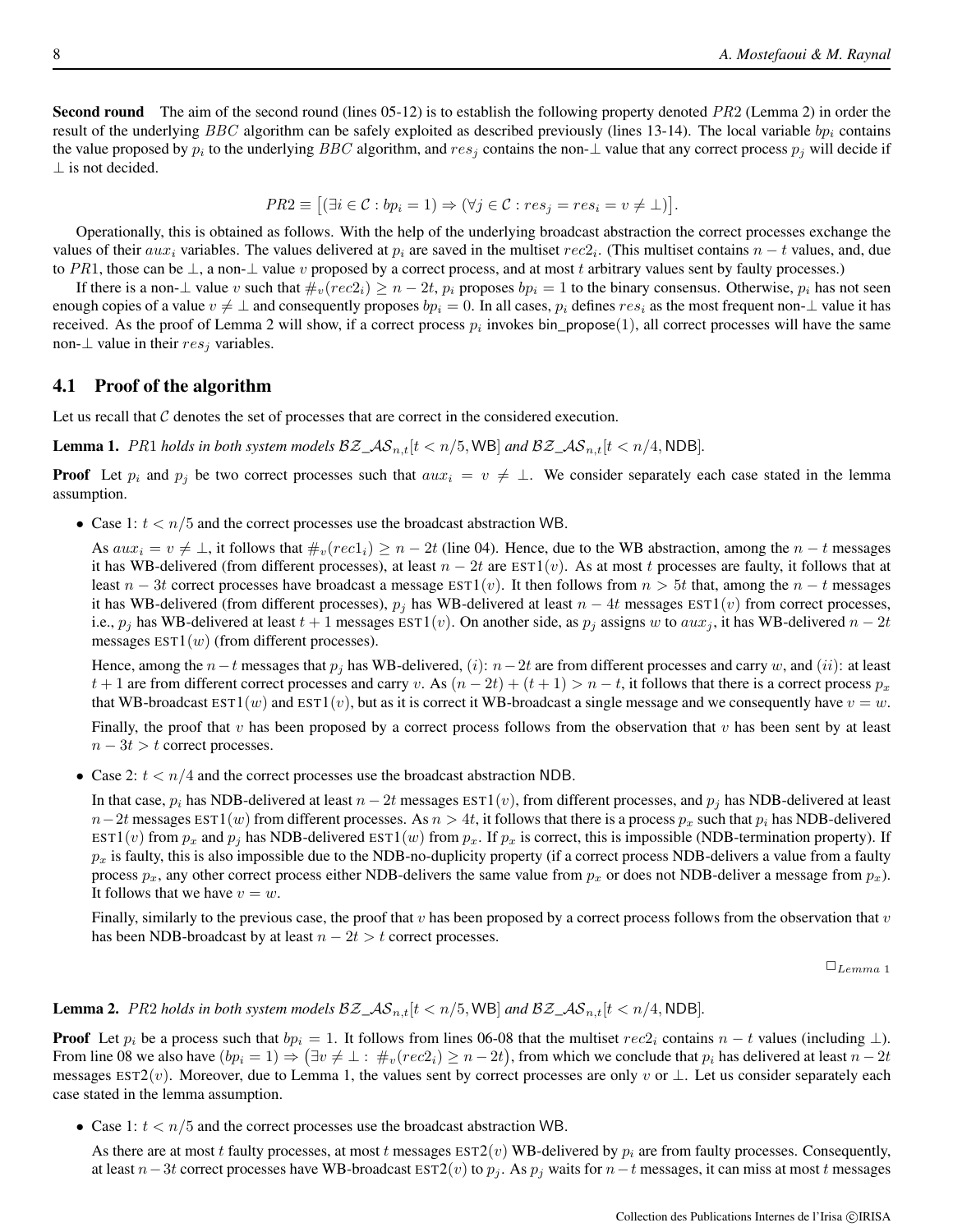Second round The aim of the second round (lines 05-12) is to establish the following property denoted PR2 (Lemma 2) in order the result of the underlying BBC algorithm can be safely exploited as described previously (lines 13-14). The local variable  $bp<sub>i</sub>$  contains the value proposed by  $p_i$  to the underlying BBC algorithm, and  $res_j$  contains the non- $\perp$  value that any correct process  $p_j$  will decide if ⊥ is not decided.

$$
PR2 \equiv \left[ (\exists i \in C : bp_i = 1) \Rightarrow (\forall j \in C : res_j = res_i = v \neq \bot) \right].
$$

Operationally, this is obtained as follows. With the help of the underlying broadcast abstraction the correct processes exchange the values of their  $aux_i$  variables. The values delivered at  $p_i$  are saved in the multiset  $rec2_i$ . (This multiset contains  $n-t$  values, and, due to PR1, those can be  $\perp$ , a non- $\perp$  value v proposed by a correct process, and at most t arbitrary values sent by faulty processes.)

If there is a non- $\perp$  value v such that  $\#_v(rec2_i) \geq n-2t$ ,  $p_i$  proposes  $bp_i = 1$  to the binary consensus. Otherwise,  $p_i$  has not seen enough copies of a value  $v \neq \perp$  and consequently proposes  $bp_i = 0$ . In all cases,  $p_i$  defines  $res_i$  as the most frequent non- $\perp$  value it has received. As the proof of Lemma 2 will show, if a correct process  $p_i$  invokes bin\_propose(1), all correct processes will have the same non- $\perp$  value in their  $res_j$  variables.

#### 4.1 Proof of the algorithm

Let us recall that C denotes the set of processes that are correct in the considered execution.

**Lemma 1.** PR1 *holds in both system models*  $BZ \text{A}S_{n,t}[t \text{ } < n/5, \text{WB}]$  *and*  $BZ \text{A}S_{n,t}[t \text{ } < n/4, \text{NDB}]$ .

**Proof** Let  $p_i$  and  $p_j$  be two correct processes such that  $aux_i = v \neq \perp$ . We consider separately each case stated in the lemma assumption.

• Case 1:  $t < n/5$  and the correct processes use the broadcast abstraction WB.

As  $aux_i = v \neq \bot$ , it follows that  $\#_v(rec1_i) \geq n - 2t$  (line 04). Hence, due to the WB abstraction, among the  $n - t$  messages it has WB-delivered (from different processes), at least  $n - 2t$  are  $\text{EST1}(v)$ . As at most t processes are faulty, it follows that at least  $n - 3t$  correct processes have broadcast a message EST1(v). It then follows from  $n > 5t$  that, among the  $n - t$  messages it has WB-delivered (from different processes),  $p_j$  has WB-delivered at least  $n - 4t$  messages EST1(v) from correct processes, i.e.,  $p_j$  has WB-delivered at least  $t + 1$  messages EST1(v). On another side, as  $p_j$  assigns w to  $aux_j$ , it has WB-delivered  $n - 2t$ messages  $EST1(w)$  (from different processes).

Hence, among the  $n-t$  messages that  $p_j$  has WB-delivered,  $(i)$ :  $n-2t$  are from different processes and carry w, and  $(ii)$ : at least t + 1 are from different correct processes and carry v. As  $(n - 2t) + (t + 1) > n - t$ , it follows that there is a correct process  $p_x$ that WB-broadcast  $\text{EST1}(w)$  and  $\text{EST1}(v)$ , but as it is correct it WB-broadcast a single message and we consequently have  $v = w$ .

Finally, the proof that v has been proposed by a correct process follows from the observation that v has been sent by at least  $n - 3t > t$  correct processes.

• Case 2:  $t < n/4$  and the correct processes use the broadcast abstraction NDB.

In that case,  $p_i$  has NDB-delivered at least  $n-2t$  messages EST1(v), from different processes, and  $p_i$  has NDB-delivered at least  $n-2t$  messages EST1(w) from different processes. As  $n > 4t$ , it follows that there is a process  $p_x$  such that  $p_i$  has NDB-delivered EST1(v) from  $p_x$  and  $p_j$  has NDB-delivered EST1(w) from  $p_x$ . If  $p_x$  is correct, this is impossible (NDB-termination property). If  $p_x$  is faulty, this is also impossible due to the NDB-no-duplicity property (if a correct process NDB-delivers a value from a faulty process  $p_x$ , any other correct process either NDB-delivers the same value from  $p_x$  or does not NDB-deliver a message from  $p_x$ ). It follows that we have  $v = w$ .

Finally, similarly to the previous case, the proof that v has been proposed by a correct process follows from the observation that v has been NDB-broadcast by at least  $n - 2t > t$  correct processes.

 $\square_{Lemma \ 1}$ 

**Lemma 2.** PR2 holds in both system models  $BZ \sim A S_{n,t} [t \le n/5, WB]$  and  $BZ \sim A S_{n,t} [t \le n/4, NDB]$ .

**Proof** Let  $p_i$  be a process such that  $bp_i = 1$ . It follows from lines 06-08 that the multiset rec2<sub>i</sub> contains  $n - t$  values (including  $\perp$ ). From line 08 we also have  $(bp_i = 1) \Rightarrow (\exists v \neq \bot : \#_v(rec2_i) \ge n - 2t)$ , from which we conclude that  $p_i$  has delivered at least  $n - 2t$ messages EST2(v). Moreover, due to Lemma 1, the values sent by correct processes are only v or  $\perp$ . Let us consider separately each case stated in the lemma assumption.

• Case 1:  $t < n/5$  and the correct processes use the broadcast abstraction WB.

As there are at most t faulty processes, at most t messages  $EST2(v)$  WB-delivered by  $p_i$  are from faulty processes. Consequently, at least  $n-3t$  correct processes have WB-broadcast EST2(v) to  $p_j$ . As  $p_j$  waits for  $n-t$  messages, it can miss at most t messages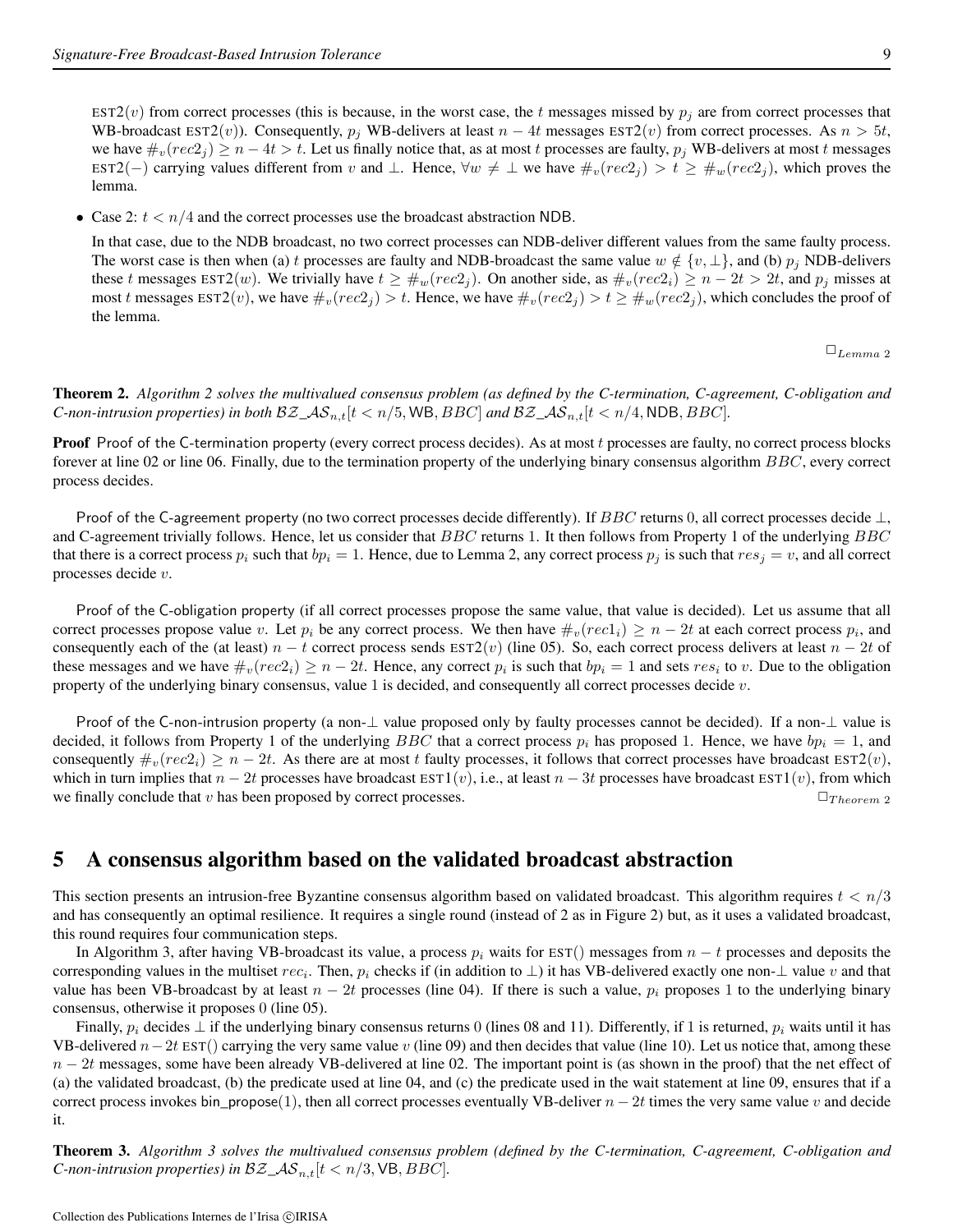EST2(v) from correct processes (this is because, in the worst case, the t messages missed by  $p_i$  are from correct processes that WB-broadcast EST2(v)). Consequently,  $p_j$  WB-delivers at least  $n - 4t$  messages EST2(v) from correct processes. As  $n > 5t$ , we have  $\#_v(rec2_j) \ge n - 4t > t$ . Let us finally notice that, as at most t processes are faulty,  $p_j$  WB-delivers at most t messages EST2(−) carrying values different from v and  $\bot$ . Hence,  $\forall w \neq \bot$  we have  $\#_v(rec2_j) > t \geq \#_w(rec2_j)$ , which proves the lemma.

• Case 2:  $t < n/4$  and the correct processes use the broadcast abstraction NDB.

In that case, due to the NDB broadcast, no two correct processes can NDB-deliver different values from the same faulty process. The worst case is then when (a) t processes are faulty and NDB-broadcast the same value  $w \notin \{v, \perp\}$ , and (b)  $p_j$  NDB-delivers these t messages EST2(w). We trivially have  $t \geq \#_w(rec2_i)$ . On another side, as  $\#_v(rec2_i) \geq n-2t > 2t$ , and  $p_j$  misses at most t messages  $\text{EST2}(v)$ , we have  $\#_v(rec2_i) > t$ . Hence, we have  $\#_v(rec2_i) > t \geq \#_w(rec2_i)$ , which concludes the proof of the lemma.

 $\square_{Lemma \ 2}$ 

Theorem 2. *Algorithm 2 solves the multivalued consensus problem (as defined by the C-termination, C-agreement, C-obligation and C*-non-intrusion properties) in both  $BZ\_AS_{n,t}[t < n/5$ , WB,  $BBC$  and  $BZ\_AS_{n,t}[t < n/4$ , NDB, BBC].

Proof Proof of the C-termination property (every correct process decides). As at most t processes are faulty, no correct process blocks forever at line 02 or line 06. Finally, due to the termination property of the underlying binary consensus algorithm BBC, every correct process decides.

Proof of the C-agreement property (no two correct processes decide differently). If BBC returns 0, all correct processes decide  $\perp$ , and C-agreement trivially follows. Hence, let us consider that BBC returns 1. It then follows from Property 1 of the underlying BBC that there is a correct process  $p_i$  such that  $bp_i = 1$ . Hence, due to Lemma 2, any correct process  $p_j$  is such that  $res_j = v$ , and all correct processes decide v.

Proof of the C-obligation property (if all correct processes propose the same value, that value is decided). Let us assume that all correct processes propose value v. Let  $p_i$  be any correct process. We then have  $\#_v(rec1_i) \ge n-2t$  at each correct process  $p_i$ , and consequently each of the (at least)  $n - t$  correct process sends EST2(v) (line 05). So, each correct process delivers at least  $n - 2t$  of these messages and we have  $\#_v(rec2_i) \geq n-2t$ . Hence, any correct  $p_i$  is such that  $bp_i = 1$  and sets  $res_i$  to v. Due to the obligation property of the underlying binary consensus, value 1 is decided, and consequently all correct processes decide v.

Proof of the C-non-intrusion property (a non- $\perp$  value proposed only by faulty processes cannot be decided). If a non- $\perp$  value is decided, it follows from Property 1 of the underlying BBC that a correct process  $p_i$  has proposed 1. Hence, we have  $bp_i = 1$ , and consequently  $\#_v(rec2_i) \geq n-2t$ . As there are at most t faulty processes, it follows that correct processes have broadcast  $\text{EST2}(v)$ , which in turn implies that  $n - 2t$  processes have broadcast EST1(v), i.e., at least  $n - 3t$  processes have broadcast EST1(v), from which we finally conclude that v has been proposed by correct processes.  $\Box_{Theorem 2}$ 

## 5 A consensus algorithm based on the validated broadcast abstraction

This section presents an intrusion-free Byzantine consensus algorithm based on validated broadcast. This algorithm requires  $t < n/3$ and has consequently an optimal resilience. It requires a single round (instead of 2 as in Figure 2) but, as it uses a validated broadcast, this round requires four communication steps.

In Algorithm 3, after having VB-broadcast its value, a process  $p_i$  waits for EST() messages from  $n - t$  processes and deposits the corresponding values in the multiset  $rec_i$ . Then,  $p_i$  checks if (in addition to  $\perp$ ) it has VB-delivered exactly one non- $\perp$  value v and that value has been VB-broadcast by at least  $n - 2t$  processes (line 04). If there is such a value,  $p_i$  proposes 1 to the underlying binary consensus, otherwise it proposes 0 (line 05).

Finally,  $p_i$  decides  $\perp$  if the underlying binary consensus returns 0 (lines 08 and 11). Differently, if 1 is returned,  $p_i$  waits until it has VB-delivered  $n-2t$  EST() carrying the very same value v (line 09) and then decides that value (line 10). Let us notice that, among these  $n - 2t$  messages, some have been already VB-delivered at line 02. The important point is (as shown in the proof) that the net effect of (a) the validated broadcast, (b) the predicate used at line 04, and (c) the predicate used in the wait statement at line 09, ensures that if a correct process invokes bin\_propose(1), then all correct processes eventually VB-deliver  $n - 2t$  times the very same value v and decide it.

Theorem 3. *Algorithm 3 solves the multivalued consensus problem (defined by the C-termination, C-agreement, C-obligation and C-non-intrusion properties) in*  $BZ\_AS_{n,t}[t < n/3, \text{VB}, BBC]$ .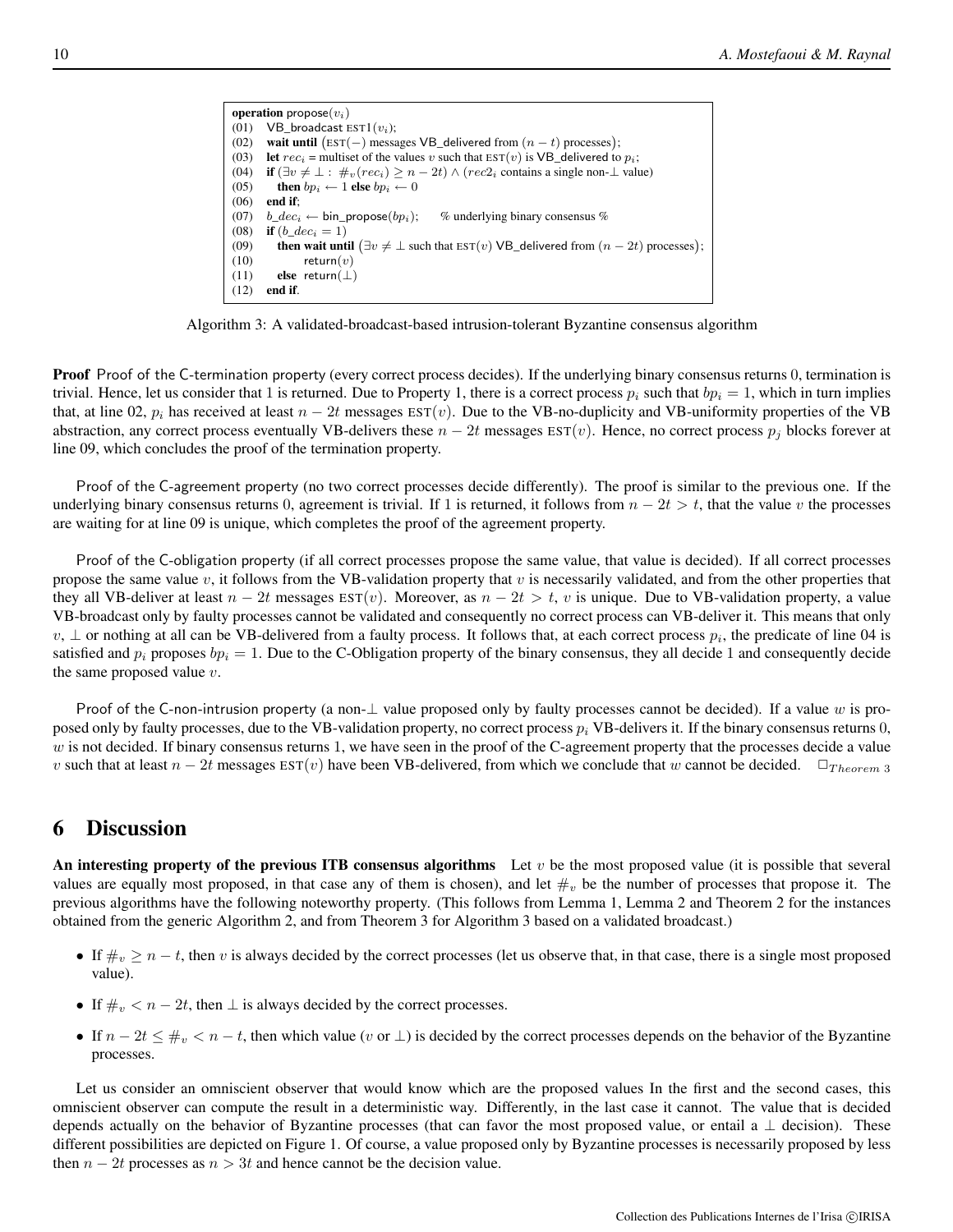```
operation propose(v_i)(01) VB_broadcast EST1(v_i);
(02) wait until (EST(-) messages VB_delivered from (n - t) processes);
(03) let rec_i = multiset of the values v such that EST(v) is VB_delivered to p_i;
(04) if (\exists v \neq \bot : \#_v(rec_i) \geq n - 2t) \wedge (rec2_i) contains a single non-\bot value)
(05) then bp_i \leftarrow 1 else bp_i \leftarrow 0(06) end if;
(07) b\_dec_i \leftarrow bin\_propose(bp_i); % underlying binary consensus % (08) if (b \ dec_i = 1)if (b\_dec_i = 1)(09) then wait until (\exists v \neq \bot \text{ such that } \text{EST}(v) \text{ VB\_delivered from } (n - 2t) \text{ processes});(10) return(v)(11) else return(\perp)
(12) end if.
```
Algorithm 3: A validated-broadcast-based intrusion-tolerant Byzantine consensus algorithm

Proof Proof of the C-termination property (every correct process decides). If the underlying binary consensus returns 0, termination is trivial. Hence, let us consider that 1 is returned. Due to Property 1, there is a correct process  $p_i$  such that  $bp_i = 1$ , which in turn implies that, at line 02,  $p_i$  has received at least  $n - 2t$  messages  $EST(v)$ . Due to the VB-no-duplicity and VB-uniformity properties of the VB abstraction, any correct process eventually VB-delivers these  $n - 2t$  messages  $\text{EST}(v)$ . Hence, no correct process  $p_i$  blocks forever at line 09, which concludes the proof of the termination property.

Proof of the C-agreement property (no two correct processes decide differently). The proof is similar to the previous one. If the underlying binary consensus returns 0, agreement is trivial. If 1 is returned, it follows from  $n - 2t > t$ , that the value v the processes are waiting for at line 09 is unique, which completes the proof of the agreement property.

Proof of the C-obligation property (if all correct processes propose the same value, that value is decided). If all correct processes propose the same value  $v$ , it follows from the VB-validation property that  $v$  is necessarily validated, and from the other properties that they all VB-deliver at least  $n - 2t$  messages  $EST(v)$ . Moreover, as  $n - 2t > t$ , v is unique. Due to VB-validation property, a value VB-broadcast only by faulty processes cannot be validated and consequently no correct process can VB-deliver it. This means that only v,  $\perp$  or nothing at all can be VB-delivered from a faulty process. It follows that, at each correct process  $p_i$ , the predicate of line 04 is satisfied and  $p_i$  proposes  $bp_i = 1$ . Due to the C-Obligation property of the binary consensus, they all decide 1 and consequently decide the same proposed value  $v$ .

Proof of the C-non-intrusion property (a non- $\perp$  value proposed only by faulty processes cannot be decided). If a value w is proposed only by faulty processes, due to the VB-validation property, no correct process  $p_i$  VB-delivers it. If the binary consensus returns 0,  $w$  is not decided. If binary consensus returns 1, we have seen in the proof of the C-agreement property that the processes decide a value v such that at least  $n-2t$  messages  $\text{EST}(v)$  have been VB-delivered, from which we conclude that w cannot be decided.  $\Box_{Theorem 3}$ 

## 6 Discussion

An interesting property of the previous ITB consensus algorithms Let  $v$  be the most proposed value (it is possible that several values are equally most proposed, in that case any of them is chosen), and let  $\#_v$  be the number of processes that propose it. The previous algorithms have the following noteworthy property. (This follows from Lemma 1, Lemma 2 and Theorem 2 for the instances obtained from the generic Algorithm 2, and from Theorem 3 for Algorithm 3 based on a validated broadcast.)

- If  $\#_v \ge n t$ , then v is always decided by the correct processes (let us observe that, in that case, there is a single most proposed value).
- If  $\#_v < n 2t$ , then  $\perp$  is always decided by the correct processes.
- If  $n-2t \leq \#_v < n-t$ , then which value (v or  $\perp$ ) is decided by the correct processes depends on the behavior of the Byzantine processes.

Let us consider an omniscient observer that would know which are the proposed values In the first and the second cases, this omniscient observer can compute the result in a deterministic way. Differently, in the last case it cannot. The value that is decided depends actually on the behavior of Byzantine processes (that can favor the most proposed value, or entail a  $\perp$  decision). These different possibilities are depicted on Figure 1. Of course, a value proposed only by Byzantine processes is necessarily proposed by less then  $n - 2t$  processes as  $n > 3t$  and hence cannot be the decision value.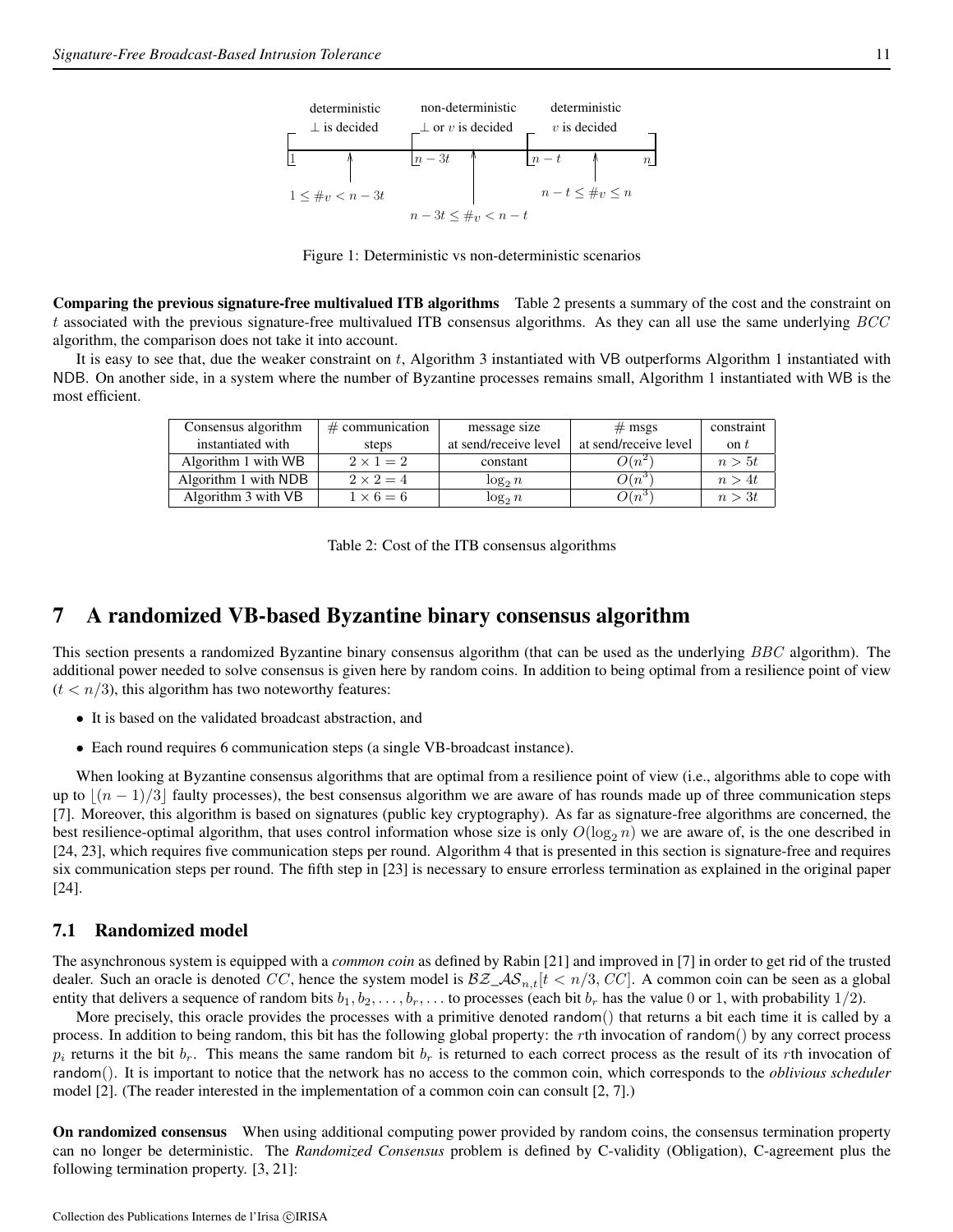

Figure 1: Deterministic vs non-deterministic scenarios

Comparing the previous signature-free multivalued ITB algorithms Table 2 presents a summary of the cost and the constraint on t associated with the previous signature-free multivalued ITB consensus algorithms. As they can all use the same underlying  $BCC$ algorithm, the comparison does not take it into account.

It is easy to see that, due the weaker constraint on t, Algorithm 3 instantiated with VB outperforms Algorithm 1 instantiated with NDB. On another side, in a system where the number of Byzantine processes remains small, Algorithm 1 instantiated with WB is the most efficient.

| Consensus algorithm  | $\#$ communication | message size          | $#$ msgs              | constraint   |
|----------------------|--------------------|-----------------------|-----------------------|--------------|
| instantiated with    | steps              | at send/receive level | at send/receive level | $\alpha$ n t |
| Algorithm 1 with WB  | $2 \times 1 = 2$   | constant              | $O(n^{2})$            | n > 5t       |
| Algorithm 1 with NDB | $2 \times 2 = 4$   | $\log_2 n$            | $O(n^3)$              | n > 4t       |
| Algorithm 3 with VB  | $1 \times 6 = 6$   | $\log_2 n$            | $O(n^3)$              | n > 3t       |

Table 2: Cost of the ITB consensus algorithms

## 7 A randomized VB-based Byzantine binary consensus algorithm

This section presents a randomized Byzantine binary consensus algorithm (that can be used as the underlying BBC algorithm). The additional power needed to solve consensus is given here by random coins. In addition to being optimal from a resilience point of view  $(t < n/3)$ , this algorithm has two noteworthy features:

- It is based on the validated broadcast abstraction, and
- Each round requires 6 communication steps (a single VB-broadcast instance).

When looking at Byzantine consensus algorithms that are optimal from a resilience point of view (i.e., algorithms able to cope with up to  $|(n - 1)/3|$  faulty processes), the best consensus algorithm we are aware of has rounds made up of three communication steps [7]. Moreover, this algorithm is based on signatures (public key cryptography). As far as signature-free algorithms are concerned, the best resilience-optimal algorithm, that uses control information whose size is only  $O(\log_2 n)$  we are aware of, is the one described in [24, 23], which requires five communication steps per round. Algorithm 4 that is presented in this section is signature-free and requires six communication steps per round. The fifth step in [23] is necessary to ensure errorless termination as explained in the original paper [24].

#### 7.1 Randomized model

The asynchronous system is equipped with a *common coin* as defined by Rabin [21] and improved in [7] in order to get rid of the trusted dealer. Such an oracle is denoted CC, hence the system model is  $\mathcal{BZ}_A\mathcal{S}_{n,t}[t < n/3, CC]$ . A common coin can be seen as a global entity that delivers a sequence of random bits  $b_1, b_2, \ldots, b_r, \ldots$  to processes (each bit  $b_r$  has the value 0 or 1, with probability 1/2).

More precisely, this oracle provides the processes with a primitive denoted random() that returns a bit each time it is called by a process. In addition to being random, this bit has the following global property: the rth invocation of random() by any correct process  $p_i$  returns it the bit  $b_r$ . This means the same random bit  $b_r$  is returned to each correct process as the result of its rth invocation of random(). It is important to notice that the network has no access to the common coin, which corresponds to the *oblivious scheduler* model [2]. (The reader interested in the implementation of a common coin can consult [2, 7].)

On randomized consensus When using additional computing power provided by random coins, the consensus termination property can no longer be deterministic. The *Randomized Consensus* problem is defined by C-validity (Obligation), C-agreement plus the following termination property. [3, 21]: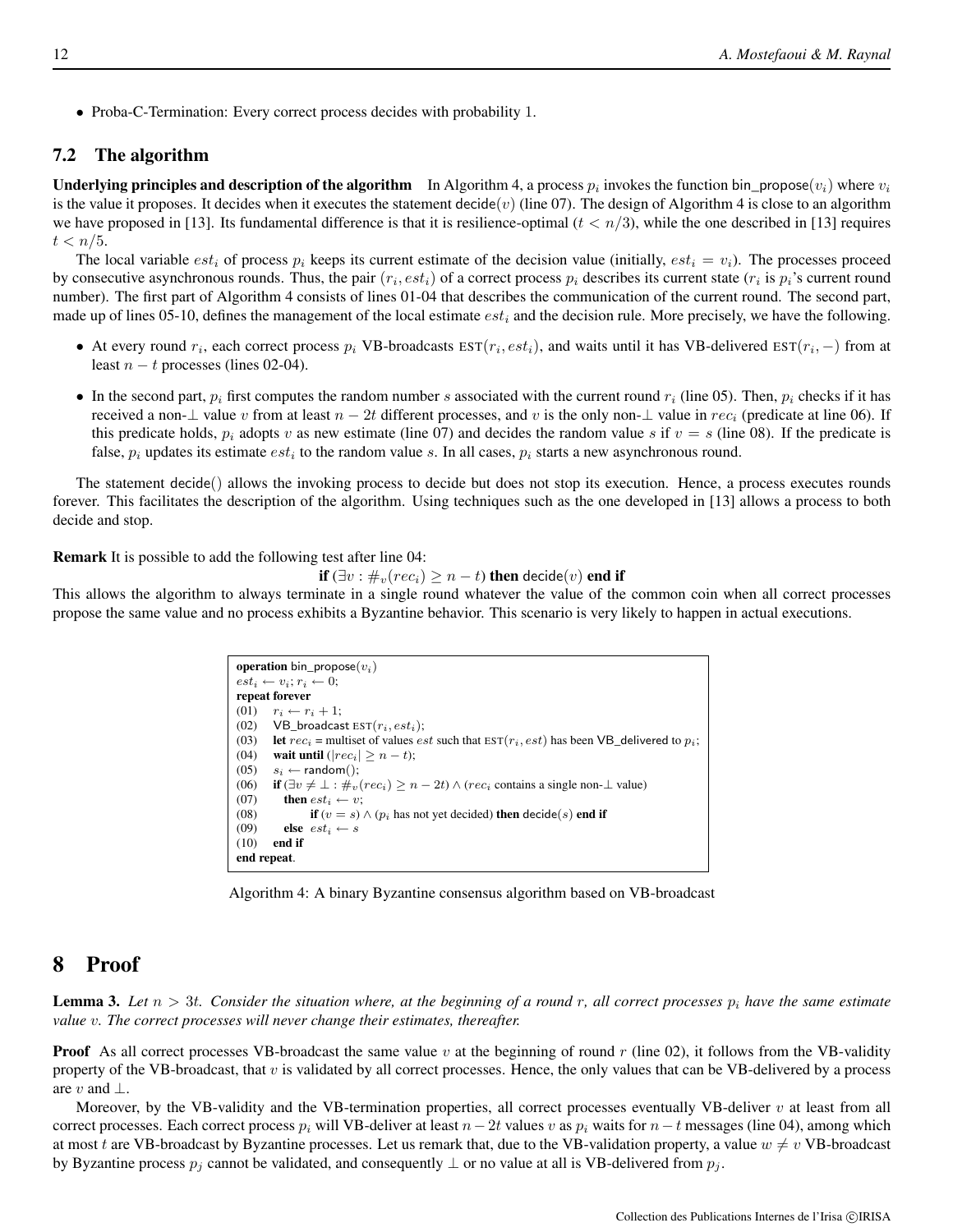• Proba-C-Termination: Every correct process decides with probability 1.

#### 7.2 The algorithm

**Underlying principles and description of the algorithm** In Algorithm 4, a process  $p_i$  invokes the function bin\_propose $(v_i)$  where  $v_i$ is the value it proposes. It decides when it executes the statement  $\text{dec}(v)$  (line 07). The design of Algorithm 4 is close to an algorithm we have proposed in [13]. Its fundamental difference is that it is resilience-optimal  $(t < n/3)$ , while the one described in [13] requires  $t < n/5$ .

The local variable  $est_i$  of process  $p_i$  keeps its current estimate of the decision value (initially,  $est_i = v_i$ ). The processes proceed by consecutive asynchronous rounds. Thus, the pair  $(r_i, est_i)$  of a correct process  $p_i$  describes its current state  $(r_i$  is  $p_i$ 's current round number). The first part of Algorithm 4 consists of lines 01-04 that describes the communication of the current round. The second part, made up of lines 05-10, defines the management of the local estimate  $est_i$  and the decision rule. More precisely, we have the following.

- At every round  $r_i$ , each correct process  $p_i$  VB-broadcasts  $EST(r_i, est_i)$ , and waits until it has VB-delivered  $EST(r_i, -)$  from at least  $n - t$  processes (lines 02-04).
- In the second part,  $p_i$  first computes the random number s associated with the current round  $r_i$  (line 05). Then,  $p_i$  checks if it has received a non-⊥ value v from at least  $n-2t$  different processes, and v is the only non-⊥ value in  $rec_i$  (predicate at line 06). If this predicate holds,  $p_i$  adopts v as new estimate (line 07) and decides the random value s if  $v = s$  (line 08). If the predicate is false,  $p_i$  updates its estimate  $est_i$  to the random value s. In all cases,  $p_i$  starts a new asynchronous round.

The statement decide() allows the invoking process to decide but does not stop its execution. Hence, a process executes rounds forever. This facilitates the description of the algorithm. Using techniques such as the one developed in [13] allows a process to both decide and stop.

Remark It is possible to add the following test after line 04:

if  $(\exists v : \#_v(rec_i) \geq n-t)$  then decide $(v)$  end if

This allows the algorithm to always terminate in a single round whatever the value of the common coin when all correct processes propose the same value and no process exhibits a Byzantine behavior. This scenario is very likely to happen in actual executions.

```
operation bin_propose(v_i)est_i \leftarrow v_i; r_i \leftarrow 0;repeat forever
(01) r_i \leftarrow r_i + 1;<br>(02) VB_broadcas
        VB_broadcast EST(r_i, est_i);(03) let rec_i = multiset of values est such that EST(r_i, est) has been VB_delivered to p_i;
(04) wait until (|rec_i| \ge n - t);
(05) s_i \leftarrow \text{random}<br>(06) if (\exists v \neq \bot : \#_v)if (\exists v \neq \bot : \#_v(rec_i) \geq n - 2t) ∧ (rec<sub>i</sub> contains a single non-\bot value)
(07) then est_i \leftarrow v;(08) if (v = s) \land (p_i has not yet decided) then decide(s) end if (09) else est_i \leftarrow s(09) else est_i \leftarrow s<br>(10) end if
         end if
end repeat.
```
Algorithm 4: A binary Byzantine consensus algorithm based on VB-broadcast

## 8 Proof

**Lemma 3.** Let  $n > 3t$ . Consider the situation where, at the beginning of a round r, all correct processes  $p_i$  have the same estimate *value* v*. The correct processes will never change their estimates, thereafter.*

**Proof** As all correct processes VB-broadcast the same value v at the beginning of round r (line 02), it follows from the VB-validity property of the VB-broadcast, that  $v$  is validated by all correct processes. Hence, the only values that can be VB-delivered by a process are v and  $\perp$ .

Moreover, by the VB-validity and the VB-termination properties, all correct processes eventually VB-deliver  $v$  at least from all correct processes. Each correct process  $p_i$  will VB-deliver at least  $n-2t$  values v as  $p_i$  waits for  $n-t$  messages (line 04), among which at most t are VB-broadcast by Byzantine processes. Let us remark that, due to the VB-validation property, a value  $w \neq v$  VB-broadcast by Byzantine process  $p_j$  cannot be validated, and consequently  $\perp$  or no value at all is VB-delivered from  $p_j$ .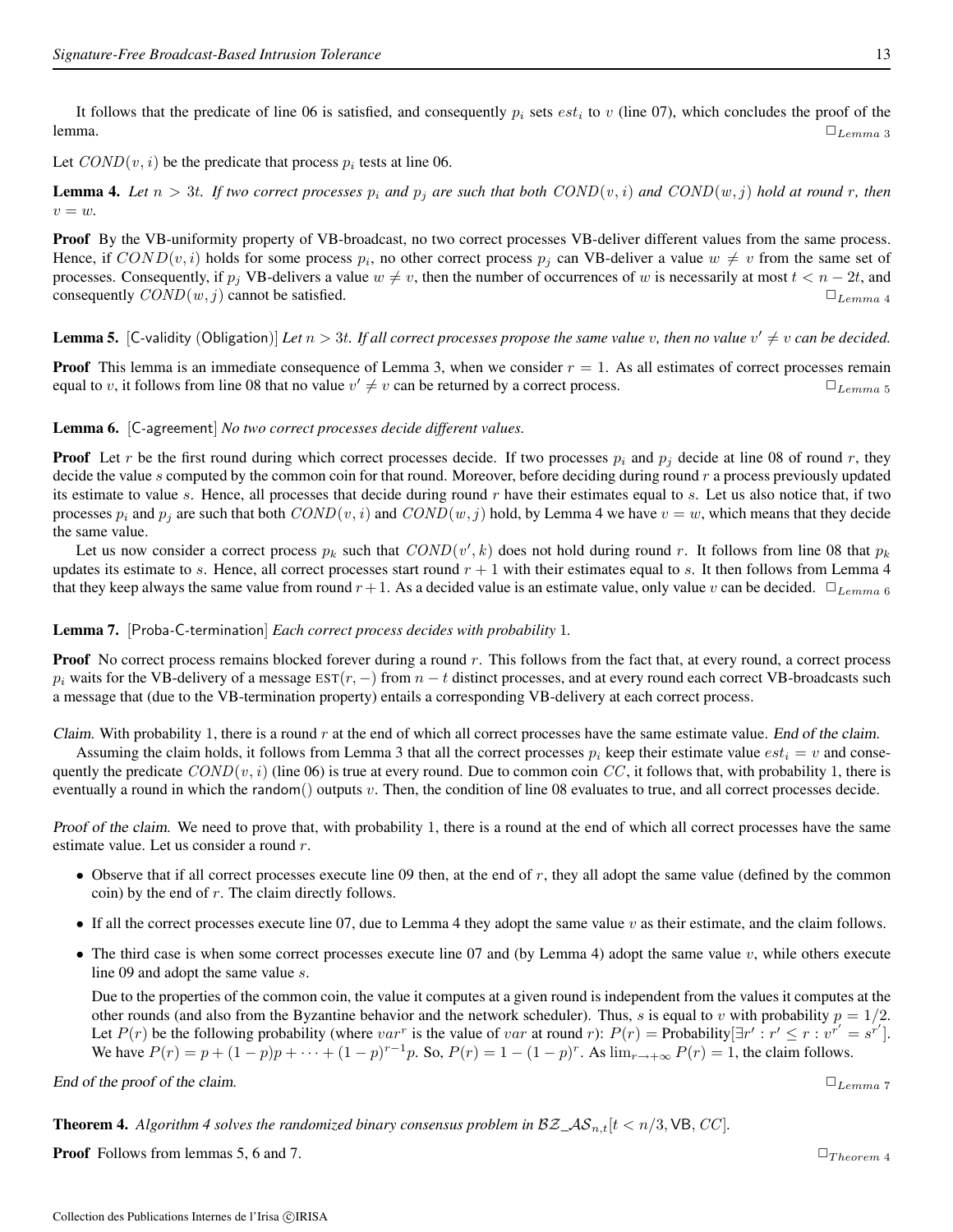It follows that the predicate of line 06 is satisfied, and consequently  $p_i$  sets  $est_i$  to v (line 07), which concludes the proof of the lemma.  $\Box$   $\Box$   $L_{emma}$  3

Let  $COND(v, i)$  be the predicate that process  $p_i$  tests at line 06.

**Lemma 4.** Let  $n > 3t$ . If two correct processes  $p_i$  and  $p_j$  are such that both  $COND(v, i)$  and  $COND(w, j)$  hold at round r, then  $v = w$ .

Proof By the VB-uniformity property of VB-broadcast, no two correct processes VB-deliver different values from the same process. Hence, if  $COND(v, i)$  holds for some process  $p_i$ , no other correct process  $p_j$  can VB-deliver a value  $w \neq v$  from the same set of processes. Consequently, if  $p_i$  VB-delivers a value  $w \neq v$ , then the number of occurrences of w is necessarily at most  $t < n - 2t$ , and consequently  $COND(w, j)$  cannot be satisfied.  $\Box$ 

**Lemma 5.** [C-validity (Obligation)] Let  $n > 3t$ . If all correct processes propose the same value v, then no value  $v' \neq v$  can be decided.

**Proof** This lemma is an immediate consequence of Lemma 3, when we consider  $r = 1$ . As all estimates of correct processes remain equal to v, it follows from line 08 that no value  $v' \neq v$  can be returned by a correct process.  $\Box_{Lemma \, 5}$ 

#### Lemma 6. [C*-*agreement] *No two correct processes decide different values.*

**Proof** Let r be the first round during which correct processes decide. If two processes  $p_i$  and  $p_j$  decide at line 08 of round r, they decide the value s computed by the common coin for that round. Moreover, before deciding during round  $r$  a process previously updated its estimate to value s. Hence, all processes that decide during round  $r$  have their estimates equal to  $s$ . Let us also notice that, if two processes  $p_i$  and  $p_j$  are such that both  $COND(v, i)$  and  $COND(w, j)$  hold, by Lemma 4 we have  $v = w$ , which means that they decide the same value.

Let us now consider a correct process  $p_k$  such that  $COND(v', k)$  does not hold during round r. It follows from line 08 that  $p_k$ updates its estimate to s. Hence, all correct processes start round  $r + 1$  with their estimates equal to s. It then follows from Lemma 4 that they keep always the same value from round  $r+1$ . As a decided value is an estimate value, only value v can be decided.  $\Box_{Lemma \, 6}$ 

#### Lemma 7. [Proba*-*C*-*termination] *Each correct process decides with probability* 1*.*

**Proof** No correct process remains blocked forever during a round r. This follows from the fact that, at every round, a correct process  $p_i$  waits for the VB-delivery of a message  $\text{EST}(r, -)$  from  $n - t$  distinct processes, and at every round each correct VB-broadcasts such a message that (due to the VB-termination property) entails a corresponding VB-delivery at each correct process.

Claim. With probability 1, there is a round  $r$  at the end of which all correct processes have the same estimate value. End of the claim.

Assuming the claim holds, it follows from Lemma 3 that all the correct processes  $p_i$  keep their estimate value  $est_i = v$  and consequently the predicate  $COND(v, i)$  (line 06) is true at every round. Due to common coin CC, it follows that, with probability 1, there is eventually a round in which the random() outputs  $v$ . Then, the condition of line 08 evaluates to true, and all correct processes decide.

Proof of the claim. We need to prove that, with probability 1, there is a round at the end of which all correct processes have the same estimate value. Let us consider a round r.

- Observe that if all correct processes execute line 09 then, at the end of  $r$ , they all adopt the same value (defined by the common coin) by the end of  $r$ . The claim directly follows.
- If all the correct processes execute line 07, due to Lemma 4 they adopt the same value  $v$  as their estimate, and the claim follows.
- The third case is when some correct processes execute line  $07$  and (by Lemma 4) adopt the same value  $v$ , while others execute line 09 and adopt the same value s.

Due to the properties of the common coin, the value it computes at a given round is independent from the values it computes at the other rounds (and also from the Byzantine behavior and the network scheduler). Thus, s is equal to v with probability  $p = 1/2$ . Let  $P(r)$  be the following probability (where  $var^r$  is the value of var at round r):  $P(r) = \text{Probability}[\exists r' : r' \le r : v^{r'} = s^{r'}].$ We have  $P(r) = p + (1 - p)p + \cdots + (1 - p)^{r-1}p$ . So,  $P(r) = 1 - (1 - p)^r$ . As  $\lim_{r \to +\infty} P(r) = 1$ , the claim follows.

End of the proof of the claim. ✷Lemma <sup>7</sup>

**Theorem 4.** Algorithm 4 solves the randomized binary consensus problem in  $BZ_\text{A}S_{n,t}[t \lt n/3, \text{VB}, CC]$ .

Proof Follows from lemmas 5, 6 and 7. ✷T heorem <sup>4</sup>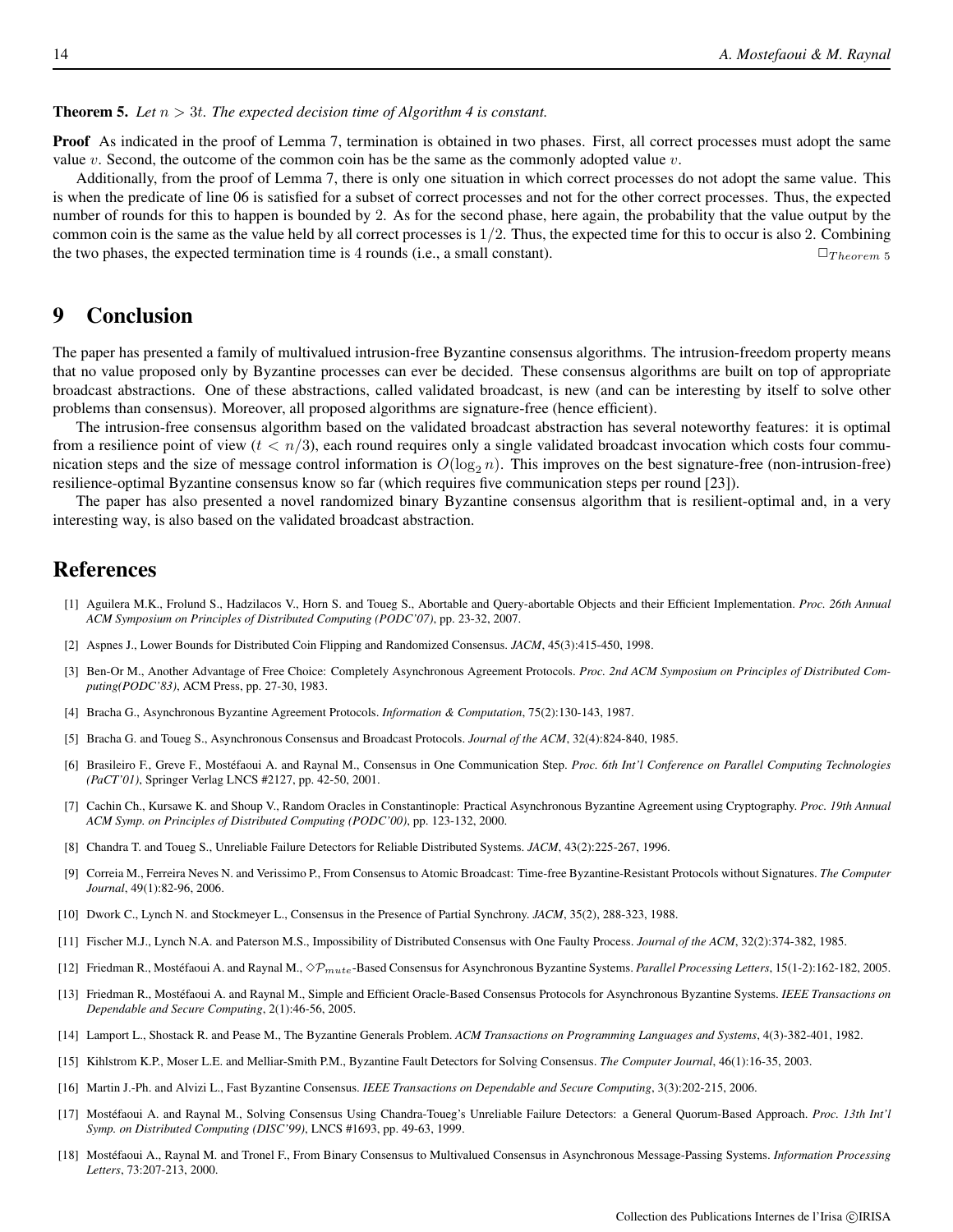Proof As indicated in the proof of Lemma 7, termination is obtained in two phases. First, all correct processes must adopt the same value v. Second, the outcome of the common coin has be the same as the commonly adopted value  $v$ .

Additionally, from the proof of Lemma 7, there is only one situation in which correct processes do not adopt the same value. This is when the predicate of line 06 is satisfied for a subset of correct processes and not for the other correct processes. Thus, the expected number of rounds for this to happen is bounded by 2. As for the second phase, here again, the probability that the value output by the common coin is the same as the value held by all correct processes is  $1/2$ . Thus, the expected time for this to occur is also 2. Combining the two phases, the expected termination time is 4 rounds (i.e., a small constant).  $\square_{Theorem 5}$ 

## 9 Conclusion

The paper has presented a family of multivalued intrusion-free Byzantine consensus algorithms. The intrusion-freedom property means that no value proposed only by Byzantine processes can ever be decided. These consensus algorithms are built on top of appropriate broadcast abstractions. One of these abstractions, called validated broadcast, is new (and can be interesting by itself to solve other problems than consensus). Moreover, all proposed algorithms are signature-free (hence efficient).

The intrusion-free consensus algorithm based on the validated broadcast abstraction has several noteworthy features: it is optimal from a resilience point of view  $(t < n/3)$ , each round requires only a single validated broadcast invocation which costs four communication steps and the size of message control information is  $O(\log_2 n)$ . This improves on the best signature-free (non-intrusion-free) resilience-optimal Byzantine consensus know so far (which requires five communication steps per round [23]).

The paper has also presented a novel randomized binary Byzantine consensus algorithm that is resilient-optimal and, in a very interesting way, is also based on the validated broadcast abstraction.

## References

- [1] Aguilera M.K., Frolund S., Hadzilacos V., Horn S. and Toueg S., Abortable and Query-abortable Objects and their Efficient Implementation. *Proc. 26th Annual ACM Symposium on Principles of Distributed Computing (PODC'07)*, pp. 23-32, 2007.
- [2] Aspnes J., Lower Bounds for Distributed Coin Flipping and Randomized Consensus. *JACM*, 45(3):415-450, 1998.
- [3] Ben-Or M., Another Advantage of Free Choice: Completely Asynchronous Agreement Protocols. *Proc. 2nd ACM Symposium on Principles of Distributed Computing(PODC'83)*, ACM Press, pp. 27-30, 1983.
- [4] Bracha G., Asynchronous Byzantine Agreement Protocols. *Information & Computation*, 75(2):130-143, 1987.
- [5] Bracha G. and Toueg S., Asynchronous Consensus and Broadcast Protocols. *Journal of the ACM*, 32(4):824-840, 1985.
- [6] Brasileiro F., Greve F., Mostéfaoui A. and Raynal M., Consensus in One Communication Step. *Proc. 6th Int'l Conference on Parallel Computing Technologies (PaCT'01)*, Springer Verlag LNCS #2127, pp. 42-50, 2001.
- [7] Cachin Ch., Kursawe K. and Shoup V., Random Oracles in Constantinople: Practical Asynchronous Byzantine Agreement using Cryptography. *Proc. 19th Annual ACM Symp. on Principles of Distributed Computing (PODC'00)*, pp. 123-132, 2000.
- [8] Chandra T. and Toueg S., Unreliable Failure Detectors for Reliable Distributed Systems. *JACM*, 43(2):225-267, 1996.
- [9] Correia M., Ferreira Neves N. and Verissimo P., From Consensus to Atomic Broadcast: Time-free Byzantine-Resistant Protocols without Signatures. *The Computer Journal*, 49(1):82-96, 2006.
- [10] Dwork C., Lynch N. and Stockmeyer L., Consensus in the Presence of Partial Synchrony. *JACM*, 35(2), 288-323, 1988.
- [11] Fischer M.J., Lynch N.A. and Paterson M.S., Impossibility of Distributed Consensus with One Faulty Process. *Journal of the ACM*, 32(2):374-382, 1985.
- [12] Friedman R., Mostéfaoui A. and Raynal M.,  $\Diamond \mathcal{P}_{mute}$ -Based Consensus for Asynchronous Byzantine Systems. *Parallel Processing Letters*, 15(1-2):162-182, 2005.
- [13] Friedman R., Mostéfaoui A. and Raynal M., Simple and Efficient Oracle-Based Consensus Protocols for Asynchronous Byzantine Systems. *IEEE Transactions on Dependable and Secure Computing*, 2(1):46-56, 2005.
- [14] Lamport L., Shostack R. and Pease M., The Byzantine Generals Problem. *ACM Transactions on Programming Languages and Systems*, 4(3)-382-401, 1982.
- [15] Kihlstrom K.P., Moser L.E. and Melliar-Smith P.M., Byzantine Fault Detectors for Solving Consensus. *The Computer Journal*, 46(1):16-35, 2003.
- [16] Martin J.-Ph. and Alvizi L., Fast Byzantine Consensus. *IEEE Transactions on Dependable and Secure Computing*, 3(3):202-215, 2006.
- [17] Mostéfaoui A. and Raynal M., Solving Consensus Using Chandra-Toueg's Unreliable Failure Detectors: a General Quorum-Based Approach. *Proc. 13th Int'l Symp. on Distributed Computing (DISC'99)*, LNCS #1693, pp. 49-63, 1999.
- [18] Mostéfaoui A., Raynal M. and Tronel F., From Binary Consensus to Multivalued Consensus in Asynchronous Message-Passing Systems. *Information Processing Letters*, 73:207-213, 2000.